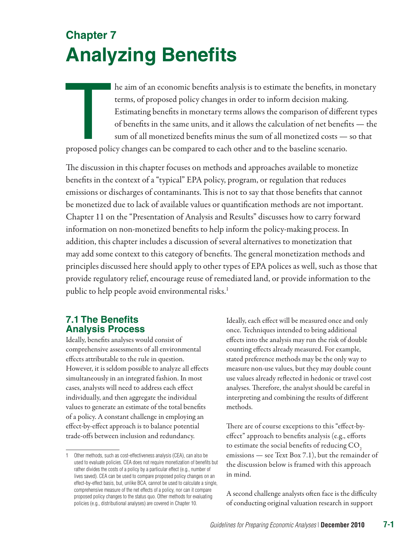# **Chapter 7 Analyzing Benefits**

The aim of an economic benefits analysis is to estimate the benefits, in monetary<br>terms, of proposed policy changes in order to inform decision making.<br>Estimating benefits in monetary terms allows the comparison of differe terms, of proposed policy changes in order to inform decision making. Estimating benefits in monetary terms allows the comparison of different types of benefits in the same units, and it allows the calculation of net benefits — the sum of all monetized benefits minus the sum of all monetized costs — so that proposed policy changes can be compared to each other and to the baseline scenario.

The discussion in this chapter focuses on methods and approaches available to monetize benefits in the context of a "typical" EPA policy, program, or regulation that reduces emissions or discharges of contaminants. This is not to say that those benefits that cannot be monetized due to lack of available values or quantification methods are not important. Chapter 11 on the "Presentation of Analysis and Results" discusses how to carry forward information on non-monetized benefits to help inform the policy-making process. In addition, this chapter includes a discussion of several alternatives to monetization that may add some context to this category of benefits. The general monetization methods and principles discussed here should apply to other types of EPA polices as well, such as those that provide regulatory relief, encourage reuse of remediated land, or provide information to the public to help people avoid environmental risks.<sup>1</sup>

# **7.1 The Benefits Analysis Process**

Ideally, benefits analyses would consist of comprehensive assessments of all environmental effects attributable to the rule in question. However, it is seldom possible to analyze all effects simultaneously in an integrated fashion. In most cases, analysts will need to address each effect individually, and then aggregate the individual values to generate an estimate of the total benefits of a policy. A constant challenge in employing an effect-by-effect approach is to balance potential trade-offs between inclusion and redundancy.

Ideally, each effect will be measured once and only once. Techniques intended to bring additional effects into the analysis may run the risk of double counting effects already measured. For example, stated preference methods may be the only way to measure non-use values, but they may double count use values already reflected in hedonic or travel cost analyses. Therefore, the analyst should be careful in interpreting and combining the results of different methods.

There are of course exceptions to this "effect-byeffect" approach to benefits analysis (e.g., efforts to estimate the social benefits of reducing CO<sub>2</sub> emissions — see Text Box 7.1), but the remainder of the discussion below is framed with this approach in mind.

A second challenge analysts often face is the difficulty of conducting original valuation research in support

<sup>1</sup> Other methods, such as cost-effectiveness analysis (CEA), can also be used to evaluate policies. CEA does not require monetization of benefits but rather divides the costs of a policy by a particular effect (e.g., number of lives saved). CEA can be used to compare proposed policy changes on an effect-by-effect basis, but, unlike BCA, cannot be used to calculate a single, comprehensive measure of the net effects of a policy, nor can it compare proposed policy changes to the status quo. Other methods for evaluating policies (e.g., distributional analyses) are covered in Chapter 10.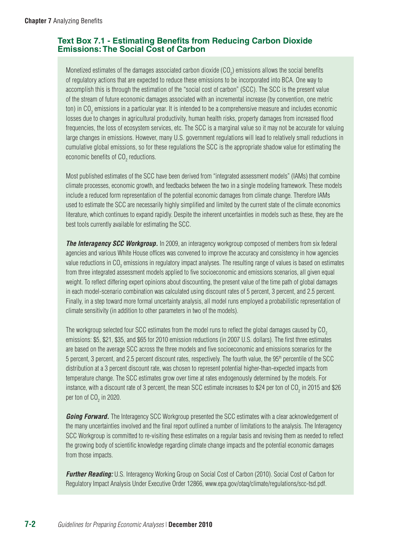# **Text Box 7.1 - Estimating Benefits from Reducing Carbon Dioxide Emissions: The Social Cost of Carbon**

Monetized estimates of the damages associated carbon dioxide (CO<sub>2</sub>) emissions allows the social benefits of regulatory actions that are expected to reduce these emissions to be incorporated into BCA. One way to accomplish this is through the estimation of the "social cost of carbon" (SCC). The SCC is the present value of the stream of future economic damages associated with an incremental increase (by convention, one metric ton) in CO $_2$  emissions in a particular year. It is intended to be a comprehensive measure and includes economic losses due to changes in agricultural productivity, human health risks, property damages from increased flood frequencies, the loss of ecosystem services, etc. The SCC is a marginal value so it may not be accurate for valuing large changes in emissions. However, many U.S. government regulations will lead to relatively small reductions in cumulative global emissions, so for these regulations the SCC is the appropriate shadow value for estimating the economic benefits of CO $_{\textrm{\tiny{2}}}$  reductions.

Most published estimates of the SCC have been derived from "integrated assessment models" (IAMs) that combine climate processes, economic growth, and feedbacks between the two in a single modeling framework. These models include a reduced form representation of the potential economic damages from climate change. Therefore IAMs used to estimate the SCC are necessarily highly simplified and limited by the current state of the climate economics literature, which continues to expand rapidly. Despite the inherent uncertainties in models such as these, they are the best tools currently available for estimating the SCC.

**The Interagency SCC Workgroup.** In 2009, an interagency workgroup composed of members from six federal agencies and various White House offices was convened to improve the accuracy and consistency in how agencies value reductions in CO<sub>2</sub> emissions in regulatory impact analyses. The resulting range of values is based on estimates from three integrated assessment models applied to five socioeconomic and emissions scenarios, all given equal weight. To reflect differing expert opinions about discounting, the present value of the time path of global damages in each model-scenario combination was calculated using discount rates of 5 percent, 3 percent, and 2.5 percent. Finally, in a step toward more formal uncertainty analysis, all model runs employed a probabilistic representation of climate sensitivity (in addition to other parameters in two of the models).

The workgroup selected four SCC estimates from the model runs to reflect the global damages caused by CO<sub>2</sub> emissions: \$5, \$21, \$35, and \$65 for 2010 emission reductions (in 2007 U.S. dollars). The first three estimates are based on the average SCC across the three models and five socioeconomic and emissions scenarios for the 5 percent, 3 percent, and 2.5 percent discount rates, respectively. The fourth value, the 95th percentile of the SCC distribution at a 3 percent discount rate, was chosen to represent potential higher-than-expected impacts from temperature change. The SCC estimates grow over time at rates endogenously determined by the models. For instance, with a discount rate of 3 percent, the mean SCC estimate increases to \$24 per ton of CO<sub>2</sub> in 2015 and \$26 per ton of CO<sub>2</sub> in 2020.

*Going Forward.* The Interagency SCC Workgroup presented the SCC estimates with a clear acknowledgement of the many uncertainties involved and the final report outlined a number of limitations to the analysis. The Interagency SCC Workgroup is committed to re-visiting these estimates on a regular basis and revising them as needed to reflect the growing body of scientific knowledge regarding climate change impacts and the potential economic damages from those impacts.

*Further Reading:* U.S. Interagency Working Group on Social Cost of Carbon (2010). Social Cost of Carbon for Regulatory Impact Analysis Under Executive Order 12866, [www.epa.gov/otaq/climate/regulations/scc-tsd.pdf](http://www.epa.gov/otaq/climate/regulations/scc-tsd.pdf).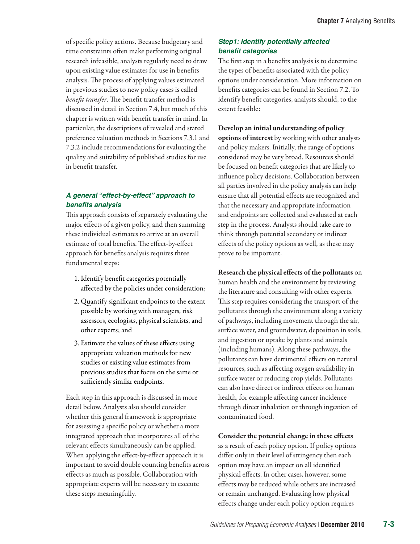of specific policy actions. Because budgetary and time constraints often make performing original research infeasible, analysts regularly need to draw upon existing value estimates for use in benefits analysis. The process of applying values estimated in previous studies to new policy cases is called *benefit transfer*. The benefit transfer method is discussed in detail in Section 7.4, but much of this chapter is written with benefit transfer in mind. In particular, the descriptions of revealed and stated preference valuation methods in Sections 7.3.1 and 7.3.2 include recommendations for evaluating the quality and suitability of published studies for use in benefit transfer.

# *A general "effect-by-effect" approach to benefits analysis*

This approach consists of separately evaluating the major effects of a given policy, and then summing these individual estimates to arrive at an overall estimate of total benefits. The effect-by-effect approach for benefits analysis requires three fundamental steps:

- 1. Identify benefit categories potentially affected by the policies under consideration;
- 2. Quantify significant endpoints to the extent possible by working with managers, risk assessors, ecologists, physical scientists, and other experts; and
- 3. Estimate the values of these effects using appropriate valuation methods for new studies or existing value estimates from previous studies that focus on the same or sufficiently similar endpoints.

Each step in this approach is discussed in more detail below. Analysts also should consider whether this general framework is appropriate for assessing a specific policy or whether a more integrated approach that incorporates all of the relevant effects simultaneously can be applied. When applying the effect-by-effect approach it is important to avoid double counting benefits across effects as much as possible. Collaboration with appropriate experts will be necessary to execute these steps meaningfully.

## *Step1: Identify potentially affected benefit categories*

The first step in a benefits analysis is to determine the types of benefits associated with the policy options under consideration. More information on benefits categories can be found in Section 7.2. To identify benefit categories, analysts should, to the extent feasible:

Develop an initial understanding of policy options of interest by working with other analysts and policy makers. Initially, the range of options considered may be very broad. Resources should be focused on benefit categories that are likely to influence policy decisions. Collaboration between all parties involved in the policy analysis can help ensure that all potential effects are recognized and that the necessary and appropriate information and endpoints are collected and evaluated at each step in the process. Analysts should take care to think through potential secondary or indirect effects of the policy options as well, as these may prove to be important.

Research the physical effects of the pollutants on human health and the environment by reviewing the literature and consulting with other experts. This step requires considering the transport of the pollutants through the environment along a variety of pathways, including movement through the air, surface water, and groundwater, deposition in soils, and ingestion or uptake by plants and animals (including humans). Along these pathways, the pollutants can have detrimental effects on natural resources, such as affecting oxygen availability in surface water or reducing crop yields. Pollutants can also have direct or indirect effects on human health, for example affecting cancer incidence through direct inhalation or through ingestion of contaminated food.

Consider the potential change in these effects as a result of each policy option. If policy options differ only in their level of stringency then each option may have an impact on all identified physical effects. In other cases, however, some effects may be reduced while others are increased or remain unchanged. Evaluating how physical effects change under each policy option requires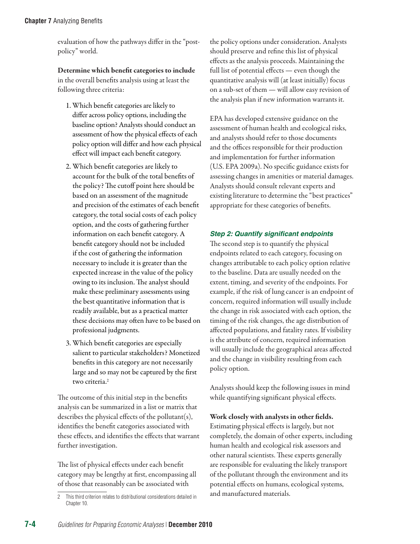evaluation of how the pathways differ in the "postpolicy" world.

Determine which benefit categories to include in the overall benefits analysis using at least the following three criteria:

- 1. Which benefit categories are likely to differ across policy options, including the baseline option? Analysts should conduct an assessment of how the physical effects of each policy option will differ and how each physical effect will impact each benefit category.
- 2. Which benefit categories are likely to account for the bulk of the total benefits of the policy? The cutoff point here should be based on an assessment of the magnitude and precision of the estimates of each benefit category, the total social costs of each policy option, and the costs of gathering further information on each benefit category. A benefit category should not be included if the cost of gathering the information necessary to include it is greater than the expected increase in the value of the policy owing to its inclusion. The analyst should make these preliminary assessments using the best quantitative information that is readily available, but as a practical matter these decisions may often have to be based on professional judgments.
- 3. Which benefit categories are especially salient to particular stakeholders? Monetized benefits in this category are not necessarily large and so may not be captured by the first two criteria.<sup>2</sup>

The outcome of this initial step in the benefits analysis can be summarized in a list or matrix that describes the physical effects of the pollutant(s), identifies the benefit categories associated with these effects, and identifies the effects that warrant further investigation.

The list of physical effects under each benefit category may be lengthy at first, encompassing all of those that reasonably can be associated with

the policy options under consideration. Analysts should preserve and refine this list of physical effects as the analysis proceeds. Maintaining the full list of potential effects — even though the quantitative analysis will (at least initially) focus on a sub-set of them — will allow easy revision of the analysis plan if new information warrants it.

EPA has developed extensive guidance on the assessment of human health and ecological risks, and analysts should refer to those documents and the offices responsible for their production and implementation for further information (U.S. EPA 2009a). No specific guidance exists for assessing changes in amenities or material damages. Analysts should consult relevant experts and existing literature to determine the "best practices" appropriate for these categories of benefits.

# *Step 2: Quantify significant endpoints*

The second step is to quantify the physical endpoints related to each category, focusing on changes attributable to each policy option relative to the baseline. Data are usually needed on the extent, timing, and severity of the endpoints. For example, if the risk of lung cancer is an endpoint of concern, required information will usually include the change in risk associated with each option, the timing of the risk changes, the age distribution of affected populations, and fatality rates. If visibility is the attribute of concern, required information will usually include the geographical areas affected and the change in visibility resulting from each policy option.

Analysts should keep the following issues in mind while quantifying significant physical effects.

# Work closely with analysts in other fields.

Estimating physical effects is largely, but not completely, the domain of other experts, including human health and ecological risk assessors and other natural scientists. These experts generally are responsible for evaluating the likely transport of the pollutant through the environment and its potential effects on humans, ecological systems, and manufactured materials.

<sup>2</sup> This third criterion relates to distributional considerations detailed in Chapter 10.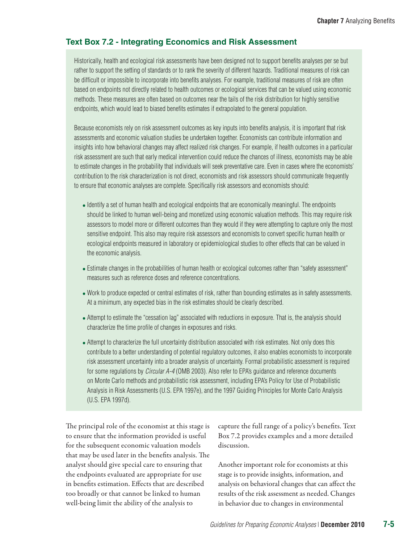## **Text Box 7.2 - Integrating Economics and Risk Assessment**

Historically, health and ecological risk assessments have been designed not to support benefits analyses per se but rather to support the setting of standards or to rank the severity of different hazards. Traditional measures of risk can be difficult or impossible to incorporate into benefits analyses. For example, traditional measures of risk are often based on endpoints not directly related to health outcomes or ecological services that can be valued using economic methods. These measures are often based on outcomes near the tails of the risk distribution for highly sensitive endpoints, which would lead to biased benefits estimates if extrapolated to the general population.

Because economists rely on risk assessment outcomes as key inputs into benefits analysis, it is important that risk assessments and economic valuation studies be undertaken together. Economists can contribute information and insights into how behavioral changes may affect realized risk changes. For example, if health outcomes in a particular risk assessment are such that early medical intervention could reduce the chances of illness, economists may be able to estimate changes in the probability that individuals will seek preventative care. Even in cases where the economists' contribution to the risk characterization is not direct, economists and risk assessors should communicate frequently to ensure that economic analyses are complete. Specifically risk assessors and economists should:

- Identify a set of human health and ecological endpoints that are economically meaningful. The endpoints should be linked to human well-being and monetized using economic valuation methods. This may require risk assessors to model more or different outcomes than they would if they were attempting to capture only the most sensitive endpoint. This also may require risk assessors and economists to convert specific human health or ecological endpoints measured in laboratory or epidemiological studies to other effects that can be valued in the economic analysis.
- Estimate changes in the probabilities of human health or ecological outcomes rather than "safety assessment" measures such as reference doses and reference concentrations.
- Work to produce expected or central estimates of risk, rather than bounding estimates as in safety assessments. At a minimum, any expected bias in the risk estimates should be clearly described.
- Attempt to estimate the "cessation lag" associated with reductions in exposure. That is, the analysis should characterize the time profile of changes in exposures and risks.
- Attempt to characterize the full uncertainty distribution associated with risk estimates. Not only does this contribute to a better understanding of potential regulatory outcomes, it also enables economists to incorporate risk assessment uncertainty into a broader analysis of uncertainty. Formal probabilistic assessment is required for some regulations by *Circular A-4* (OMB 2003). Also refer to EPA's guidance and reference documents on Monte Carlo methods and probabilistic risk assessment, including EPA's Policy for Use of Probabilistic Analysis in Risk Assessments (U.S. EPA 1997e), and the 1997 Guiding Principles for Monte Carlo Analysis (U.S. EPA 1997d).

The principal role of the economist at this stage is to ensure that the information provided is useful for the subsequent economic valuation models that may be used later in the benefits analysis. The analyst should give special care to ensuring that the endpoints evaluated are appropriate for use in benefits estimation. Effects that are described too broadly or that cannot be linked to human well-being limit the ability of the analysis to

capture the full range of a policy's benefits. Text Box 7.2 provides examples and a more detailed discussion.

Another important role for economists at this stage is to provide insights, information, and analysis on behavioral changes that can affect the results of the risk assessment as needed. Changes in behavior due to changes in environmental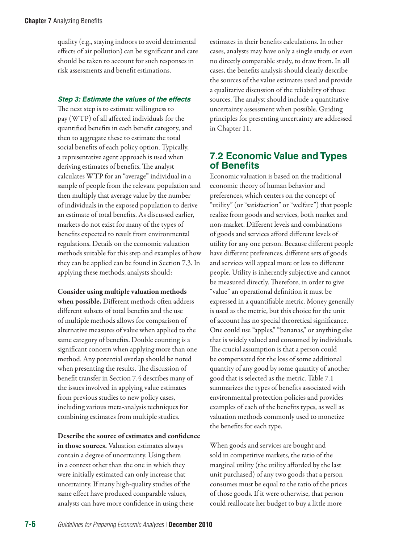quality (e.g., staying indoors to avoid detrimental effects of air pollution) can be significant and care should be taken to account for such responses in risk assessments and benefit estimations.

#### *Step 3: Estimate the values of the effects*

The next step is to estimate willingness to pay (WTP) of all affected individuals for the quantified benefits in each benefit category, and then to aggregate these to estimate the total social benefits of each policy option. Typically, a representative agent approach is used when deriving estimates of benefits. The analyst calculates WTP for an "average" individual in a sample of people from the relevant population and then multiply that average value by the number of individuals in the exposed population to derive an estimate of total benefits. As discussed earlier, markets do not exist for many of the types of benefits expected to result from environmental regulations. Details on the economic valuation methods suitable for this step and examples of how they can be applied can be found in Section 7.3. In applying these methods, analysts should:

Consider using multiple valuation methods when possible. Different methods often address different subsets of total benefits and the use of multiple methods allows for comparison of alternative measures of value when applied to the same category of benefits. Double counting is a significant concern when applying more than one method. Any potential overlap should be noted when presenting the results. The discussion of benefit transfer in Section 7.4 describes many of the issues involved in applying value estimates from previous studies to new policy cases, including various meta-analysis techniques for combining estimates from multiple studies.

Describe the source of estimates and confidence in those sources. Valuation estimates always contain a degree of uncertainty. Using them in a context other than the one in which they were initially estimated can only increase that uncertainty. If many high-quality studies of the same effect have produced comparable values, analysts can have more confidence in using these

estimates in their benefits calculations. In other cases, analysts may have only a single study, or even no directly comparable study, to draw from. In all cases, the benefits analysis should clearly describe the sources of the value estimates used and provide a qualitative discussion of the reliability of those sources. The analyst should include a quantitative uncertainty assessment when possible. Guiding principles for presenting uncertainty are addressed in Chapter 11.

# **7.2 Economic Value and Types of Benefits**

Economic valuation is based on the traditional economic theory of human behavior and preferences, which centers on the concept of "utility" (or "satisfaction" or "welfare") that people realize from goods and services, both market and non-market. Different levels and combinations of goods and services afford different levels of utility for any one person. Because different people have different preferences, different sets of goods and services will appeal more or less to different people. Utility is inherently subjective and cannot be measured directly. Therefore, in order to give "value" an operational definition it must be expressed in a quantifiable metric. Money generally is used as the metric, but this choice for the unit of account has no special theoretical significance. One could use "apples," "bananas," or anything else that is widely valued and consumed by individuals. The crucial assumption is that a person could be compensated for the loss of some additional quantity of any good by some quantity of another good that is selected as the metric. Table 7.1 summarizes the types of benefits associated with environmental protection policies and provides examples of each of the benefits types, as well as valuation methods commonly used to monetize the benefits for each type.

When goods and services are bought and sold in competitive markets, the ratio of the marginal utility (the utility afforded by the last unit purchased) of any two goods that a person consumes must be equal to the ratio of the prices of those goods. If it were otherwise, that person could reallocate her budget to buy a little more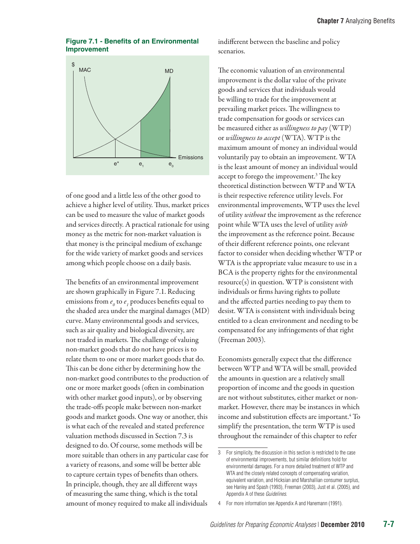#### **Figure 7.1 - Benefits of an Environmental Improvement**



of one good and a little less of the other good to achieve a higher level of utility. Thus, market prices can be used to measure the value of market goods and services directly. A practical rationale for using money as the metric for non-market valuation is that money is the principal medium of exchange for the wide variety of market goods and services among which people choose on a daily basis.

The benefits of an environmental improvement are shown graphically in Figure 7.1. Reducing emissions from  $e_{\scriptscriptstyle{\theta}}$  to  $e_{\scriptscriptstyle{I}}$  produces benefits equal to the shaded area under the marginal damages (MD) curve. Many environmental goods and services, such as air quality and biological diversity, are not traded in markets. The challenge of valuing non-market goods that do not have prices is to relate them to one or more market goods that do. This can be done either by determining how the non-market good contributes to the production of one or more market goods (often in combination with other market good inputs), or by observing the trade-offs people make between non-market goods and market goods. One way or another, this is what each of the revealed and stated preference valuation methods discussed in Section 7.3 is designed to do. Of course, some methods will be more suitable than others in any particular case for a variety of reasons, and some will be better able to capture certain types of benefits than others. In principle, though, they are all different ways of measuring the same thing, which is the total amount of money required to make all individuals

indifferent between the baseline and policy scenarios.

The economic valuation of an environmental improvement is the dollar value of the private goods and services that individuals would be willing to trade for the improvement at prevailing market prices. The willingness to trade compensation for goods or services can be measured either as *willingness to pay* (WTP) or *willingness to accept* (WTA). WTP is the maximum amount of money an individual would voluntarily pay to obtain an improvement. WTA is the least amount of money an individual would accept to forego the improvement.<sup>3</sup> The key theoretical distinction between WTP and WTA is their respective reference utility levels. For environmental improvements, WTP uses the level of utility *without* the improvement as the reference point while WTA uses the level of utility *with* the improvement as the reference point. Because of their different reference points, one relevant factor to consider when deciding whether WTP or WTA is the appropriate value measure to use in a BCA is the property rights for the environmental  $resource(s)$  in question. WTP is consistent with individuals or firms having rights to pollute and the affected parties needing to pay them to desist. WTA is consistent with individuals being entitled to a clean environment and needing to be compensated for any infringements of that right (Freeman 2003).

Economists generally expect that the difference between WTP and WTA will be small, provided the amounts in question are a relatively small proportion of income and the goods in question are not without substitutes, either market or nonmarket. However, there may be instances in which income and substitution effects are important.4 To simplify the presentation, the term WTP is used throughout the remainder of this chapter to refer

<sup>3</sup> For simplicity, the discussion in this section is restricted to the case of environmental improvements, but similar definitions hold for environmental damages. For a more detailed treatment of WTP and WTA and the closely related concepts of compensating variation, equivalent variation, and Hicksian and Marshallian consumer surplus, see Hanley and Spash (1993), Freeman (2003), Just et al. (2005), and Appendix A of these *Guidelines*.

<sup>4</sup> For more information see Appendix A and Hanemann (1991).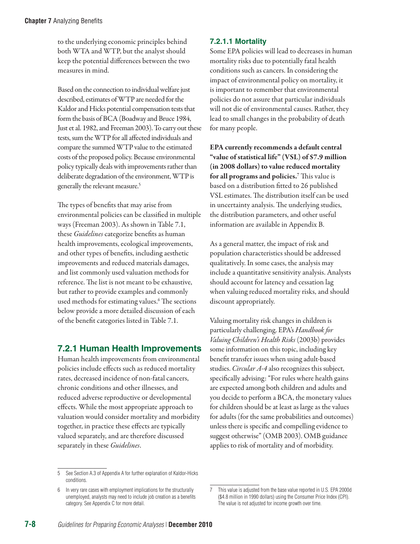to the underlying economic principles behind both WTA and WTP, but the analyst should keep the potential differences between the two measures in mind.

Based on the connection to individual welfare just described, estimates of WTP are needed for the Kaldor and Hicks potential compensation tests that form the basis of BCA (Boadway and Bruce 1984, Just et al. 1982, and Freeman 2003). To carry out these tests, sum the WTP for all affected individuals and compare the summed WTP value to the estimated costs of the proposed policy. Because environmental policy typically deals with improvements rather than deliberate degradation of the environment, WTP is generally the relevant measure.5

The types of benefits that may arise from environmental policies can be classified in multiple ways (Freeman 2003). As shown in Table 7.1, these *Guidelines* categorize benefits as human health improvements, ecological improvements, and other types of benefits, including aesthetic improvements and reduced materials damages, and list commonly used valuation methods for reference. The list is not meant to be exhaustive, but rather to provide examples and commonly used methods for estimating values.6 The sections below provide a more detailed discussion of each of the benefit categories listed in Table 7.1.

# **7.2.1 Human Health Improvements**

Human health improvements from environmental policies include effects such as reduced mortality rates, decreased incidence of non-fatal cancers, chronic conditions and other illnesses, and reduced adverse reproductive or developmental effects. While the most appropriate approach to valuation would consider mortality and morbidity together, in practice these effects are typically valued separately, and are therefore discussed separately in these *Guidelines*.

# **7.2.1.1 Mortality**

Some EPA policies will lead to decreases in human mortality risks due to potentially fatal health conditions such as cancers. In considering the impact of environmental policy on mortality, it is important to remember that environmental policies do not assure that particular individuals will not die of environmental causes. Rather, they lead to small changes in the probability of death for many people.

EPA currently recommends a default central "value of statistical life" (VSL) of \$7.9 million (in 2008 dollars) to value reduced mortality for all programs and policies.<sup>7</sup> This value is based on a distribution fitted to 26 published VSL estimates. The distribution itself can be used in uncertainty analysis. The underlying studies, the distribution parameters, and other useful information are available in Appendix B.

As a general matter, the impact of risk and population characteristics should be addressed qualitatively. In some cases, the analysis may include a quantitative sensitivity analysis. Analysts should account for latency and cessation lag when valuing reduced mortality risks, and should discount appropriately.

Valuing mortality risk changes in children is particularly challenging. EPA's *Handbook for Valuing Children's Health Risks* (2003b) provides some information on this topic, including key benefit transfer issues when using adult-based studies. *Circular A-4* also recognizes this subject, specifically advising: "For rules where health gains are expected among both children and adults and you decide to perform a BCA, the monetary values for children should be at least as large as the values for adults (for the same probabilities and outcomes) unless there is specific and compelling evidence to suggest otherwise" (OMB 2003). OMB guidance applies to risk of mortality and of morbidity.

<sup>5</sup> See Section A.3 of Appendix A for further explanation of Kaldor-Hicks conditions.

<sup>6</sup> In very rare cases with employment implications for the structurally unemployed, analysts may need to include job creation as a benefits category. See Appendix C for more detail.

<sup>7</sup> This value is adjusted from the base value reported in U.S. EPA 2000d (\$4.8 million in 1990 dollars) using the Consumer Price Index (CPI). The value is not adjusted for income growth over time.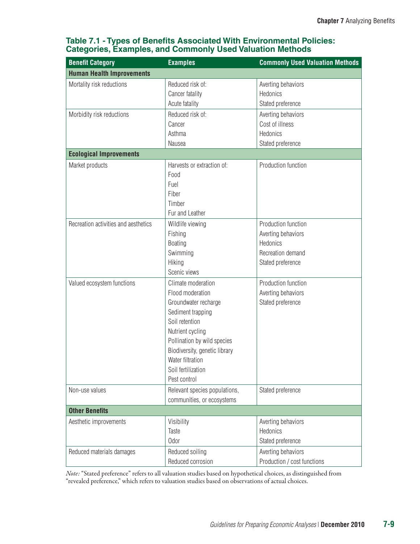| <b>Benefit Category</b>              | <b>Examples</b>                                                                                                                                                                                                                                     | <b>Commonly Used Valuation Methods</b>                                                          |
|--------------------------------------|-----------------------------------------------------------------------------------------------------------------------------------------------------------------------------------------------------------------------------------------------------|-------------------------------------------------------------------------------------------------|
| <b>Human Health Improvements</b>     |                                                                                                                                                                                                                                                     |                                                                                                 |
| Mortality risk reductions            | Reduced risk of:<br>Cancer fatality<br>Acute fatality                                                                                                                                                                                               | Averting behaviors<br>Hedonics<br>Stated preference                                             |
| Morbidity risk reductions            | Reduced risk of:<br>Cancer<br>Asthma<br>Nausea                                                                                                                                                                                                      | Averting behaviors<br>Cost of illness<br>Hedonics<br>Stated preference                          |
| <b>Ecological Improvements</b>       |                                                                                                                                                                                                                                                     |                                                                                                 |
| Market products                      | Harvests or extraction of:<br>Food<br>Fuel<br>Fiber<br>Timber<br>Fur and Leather                                                                                                                                                                    | Production function                                                                             |
| Recreation activities and aesthetics | Wildlife viewing<br>Fishing<br><b>Boating</b><br>Swimming<br>Hiking<br>Scenic views                                                                                                                                                                 | Production function<br>Averting behaviors<br>Hedonics<br>Recreation demand<br>Stated preference |
| Valued ecosystem functions           | Climate moderation<br>Flood moderation<br>Groundwater recharge<br>Sediment trapping<br>Soil retention<br>Nutrient cycling<br>Pollination by wild species<br>Biodiversity, genetic library<br>Water filtration<br>Soil fertilization<br>Pest control | Production function<br>Averting behaviors<br>Stated preference                                  |
| Non-use values                       | Relevant species populations,<br>communities, or ecosystems                                                                                                                                                                                         | Stated preference                                                                               |
| <b>Other Benefits</b>                |                                                                                                                                                                                                                                                     |                                                                                                 |
| Aesthetic improvements               | Visibility<br>Taste<br>Odor                                                                                                                                                                                                                         | Averting behaviors<br>Hedonics<br>Stated preference                                             |
| Reduced materials damages            | Reduced soiling<br>Reduced corrosion                                                                                                                                                                                                                | Averting behaviors<br>Production / cost functions                                               |

# **Table 7.1 - Types of Benefits Associated With Environmental Policies: Categories, Examples, and Commonly Used Valuation Methods**

*Note:* "Stated preference" refers to all valuation studies based on hypothetical choices, as distinguished from "revealed preference," which refers to valuation studies based on observations of actual choices.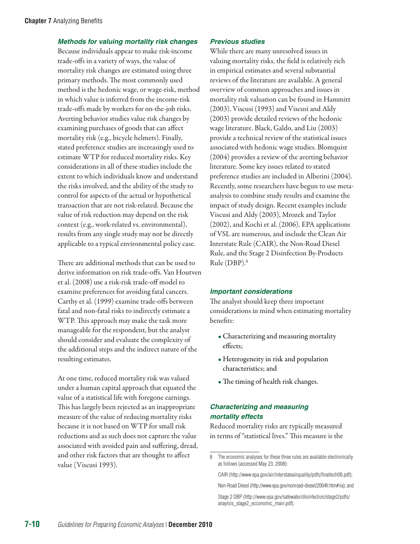#### *Methods for valuing mortality risk changes*

Because individuals appear to make risk-income trade-offs in a variety of ways, the value of mortality risk changes are estimated using three primary methods. The most commonly used method is the hedonic wage, or wage-risk, method in which value is inferred from the income-risk trade-offs made by workers for on-the-job risks. Averting behavior studies value risk changes by examining purchases of goods that can affect mortality risk (e.g., bicycle helmets). Finally, stated preference studies are increasingly used to estimate WTP for reduced mortality risks. Key considerations in all of these studies include the extent to which individuals know and understand the risks involved, and the ability of the study to control for aspects of the actual or hypothetical transaction that are not risk-related. Because the value of risk reduction may depend on the risk context (e.g., work-related vs. environmental), results from any single study may not be directly applicable to a typical environmental policy case.

There are additional methods that can be used to derive information on risk trade-offs. Van Houtven et al. (2008) use a risk-risk trade-off model to examine preferences for avoiding fatal cancers. Carthy et al. (1999) examine trade-offs between fatal and non-fatal risks to indirectly estimate a WTP. This approach may make the task more manageable for the respondent, but the analyst should consider and evaluate the complexity of the additional steps and the indirect nature of the resulting estimates.

At one time, reduced mortality risk was valued under a human capital approach that equated the value of a statistical life with foregone earnings. This has largely been rejected as an inappropriate measure of the value of reducing mortality risks because it is not based on WTP for small risk reductions and as such does not capture the value associated with avoided pain and suffering, dread, and other risk factors that are thought to affect value (Viscusi 1993).

#### *Previous studies*

While there are many unresolved issues in valuing mortality risks, the field is relatively rich in empirical estimates and several substantial reviews of the literature are available. A general overview of common approaches and issues in mortality risk valuation can be found in Hammitt (2003). Viscusi (1993) and Viscusi and Aldy (2003) provide detailed reviews of the hedonic wage literature. Black, Galdo, and Liu (2003) provide a technical review of the statistical issues associated with hedonic wage studies. Blomquist (2004) provides a review of the averting behavior literature. Some key issues related to stated preference studies are included in Alberini (2004). Recently, some researchers have begun to use metaanalysis to combine study results and examine the impact of study design. Recent examples include Viscusi and Aldy (2003), Mrozek and Taylor (2002), and Kochi et al. (2006). EPA applications of VSL are numerous, and include the Clean Air Interstate Rule (CAIR), the Non-Road Diesel Rule, and the Stage 2 Disinfection By-Products Rule (DBP).8

#### *Important considerations*

The analyst should keep three important considerations in mind when estimating mortality benefits:

- Characterizing and measuring mortality effects;
- Heterogeneity in risk and population characteristics; and
- The timing of health risk changes.

# *Characterizing and measuring mortality effects*

Reduced mortality risks are typically measured in terms of "statistical lives." This measure is the

CAIR [\(http://www.epa.gov/air/interstateairquality/pdfs/finaltech08.pdf](http://www.epa.gov/air/interstateairquality/pdfs/finaltech08.pdf));

<sup>8</sup> The economic analyses for these three rules are available electronically as follows (accessed May 23, 2008):

Non-Road Diesel [\(http://www.epa.gov/nonroad-diesel/2004fr.htm#ria](http://www.epa.gov/nonroad-diesel/2004fr.htm#ria)); and

Stage 2 DBP [\(http://www.epa.gov/safewater/disinfection/stage2/pdfs/](http://www.epa.gov/safewater/disinfection/stage2/pdfs/anaylsis_stage2_ecconomic_main.pdf) [anaylsis\\_stage2\\_ecconomic\\_main.pdf\)](http://www.epa.gov/safewater/disinfection/stage2/pdfs/anaylsis_stage2_ecconomic_main.pdf).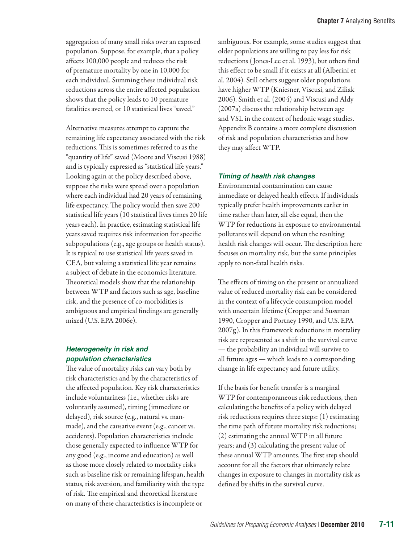aggregation of many small risks over an exposed population. Suppose, for example, that a policy affects 100,000 people and reduces the risk of premature mortality by one in 10,000 for each individual. Summing these individual risk reductions across the entire affected population shows that the policy leads to 10 premature fatalities averted, or 10 statistical lives "saved."

Alternative measures attempt to capture the remaining life expectancy associated with the risk reductions. This is sometimes referred to as the "quantity of life" saved (Moore and Viscusi 1988) and is typically expressed as "statistical life years." Looking again at the policy described above, suppose the risks were spread over a population where each individual had 20 years of remaining life expectancy. The policy would then save 200 statistical life years (10 statistical lives times 20 life years each). In practice, estimating statistical life years saved requires risk information for specific subpopulations (e.g., age groups or health status). It is typical to use statistical life years saved in CEA, but valuing a statistical life year remains a subject of debate in the economics literature. Theoretical models show that the relationship between WTP and factors such as age, baseline risk, and the presence of co-morbidities is ambiguous and empirical findings are generally mixed (U.S. EPA 2006e).

#### *Heterogeneity in risk and population characteristics*

The value of mortality risks can vary both by risk characteristics and by the characteristics of the affected population. Key risk characteristics include voluntariness (i.e., whether risks are voluntarily assumed), timing (immediate or delayed), risk source (e.g., natural vs. manmade), and the causative event (e.g., cancer vs. accidents). Population characteristics include those generally expected to influence WTP for any good (e.g., income and education) as well as those more closely related to mortality risks such as baseline risk or remaining lifespan, health status, risk aversion, and familiarity with the type of risk. The empirical and theoretical literature on many of these characteristics is incomplete or

ambiguous. For example, some studies suggest that older populations are willing to pay less for risk reductions ( Jones-Lee et al. 1993), but others find this effect to be small if it exists at all (Alberini et al. 2004). Still others suggest older populations have higher WTP (Kniesner, Viscusi, and Ziliak 2006). Smith et al. (2004) and Viscusi and Aldy (2007a) discuss the relationship between age and VSL in the context of hedonic wage studies. Appendix B contains a more complete discussion of risk and population characteristics and how they may affect WTP.

### *Timing of health risk changes*

Environmental contamination can cause immediate or delayed health effects. If individuals typically prefer health improvements earlier in time rather than later, all else equal, then the WTP for reductions in exposure to environmental pollutants will depend on when the resulting health risk changes will occur. The description here focuses on mortality risk, but the same principles apply to non-fatal health risks.

The effects of timing on the present or annualized value of reduced mortality risk can be considered in the context of a lifecycle consumption model with uncertain lifetime (Cropper and Sussman 1990, Cropper and Portney 1990, and U.S. EPA 2007g). In this framework reductions in mortality risk are represented as a shift in the survival curve — the probability an individual will survive to all future ages — which leads to a corresponding change in life expectancy and future utility.

If the basis for benefit transfer is a marginal WTP for contemporaneous risk reductions, then calculating the benefits of a policy with delayed risk reductions requires three steps: (1) estimating the time path of future mortality risk reductions; (2) estimating the annual WTP in all future years; and (3) calculating the present value of these annual WTP amounts. The first step should account for all the factors that ultimately relate changes in exposure to changes in mortality risk as defined by shifts in the survival curve.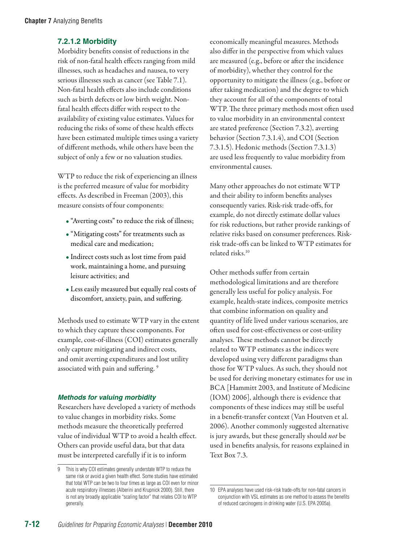# **7.2.1.2 Morbidity**

Morbidity benefits consist of reductions in the risk of non-fatal health effects ranging from mild illnesses, such as headaches and nausea, to very serious illnesses such as cancer (see Table 7.1). Non-fatal health effects also include conditions such as birth defects or low birth weight. Nonfatal health effects differ with respect to the availability of existing value estimates. Values for reducing the risks of some of these health effects have been estimated multiple times using a variety of different methods, while others have been the subject of only a few or no valuation studies.

WTP to reduce the risk of experiencing an illness is the preferred measure of value for morbidity effects. As described in Freeman (2003), this measure consists of four components:

- "Averting costs" to reduce the risk of illness;
- "Mitigating costs" for treatments such as medical care and medication;
- Indirect costs such as lost time from paid work, maintaining a home, and pursuing leisure activities; and
- Less easily measured but equally real costs of discomfort, anxiety, pain, and suffering.

Methods used to estimate WTP vary in the extent to which they capture these components. For example, cost-of-illness (COI) estimates generally only capture mitigating and indirect costs, and omit averting expenditures and lost utility associated with pain and suffering. 9

# *Methods for valuing morbidity*

Researchers have developed a variety of methods to value changes in morbidity risks. Some methods measure the theoretically preferred value of individual WTP to avoid a health effect. Others can provide useful data, but that data must be interpreted carefully if it is to inform

economically meaningful measures. Methods also differ in the perspective from which values are measured (e.g., before or after the incidence of morbidity), whether they control for the opportunity to mitigate the illness (e.g., before or after taking medication) and the degree to which they account for all of the components of total WTP. The three primary methods most often used to value morbidity in an environmental context are stated preference (Section 7.3.2), averting behavior (Section 7.3.1.4), and COI (Section 7.3.1.5). Hedonic methods (Section 7.3.1.3) are used less frequently to value morbidity from environmental causes.

Many other approaches do not estimate WTP and their ability to inform benefits analyses consequently varies. Risk-risk trade-offs, for example, do not directly estimate dollar values for risk reductions, but rather provide rankings of relative risks based on consumer preferences. Riskrisk trade-offs can be linked to WTP estimates for related risks.10

Other methods suffer from certain methodological limitations and are therefore generally less useful for policy analysis. For example, health-state indices, composite metrics that combine information on quality and quantity of life lived under various scenarios, are often used for cost-effectiveness or cost-utility analyses. These methods cannot be directly related to WTP estimates as the indices were developed using very different paradigms than those for WTP values. As such, they should not be used for deriving monetary estimates for use in BCA [Hammitt 2003, and Institute of Medicine (IOM) 2006], although there is evidence that components of these indices may still be useful in a benefit-transfer context (Van Houtven et al. 2006). Another commonly suggested alternative is jury awards, but these generally should *not* be used in benefits analysis, for reasons explained in Text Box 7.3.

<sup>9</sup> This is why COI estimates generally understate WTP to reduce the same risk or avoid a given health effect. Some studies have estimated that total WTP can be two to four times as large as COI even for minor acute respiratory illnesses (Alberini and Krupnick 2000). Still, there is not any broadly applicable "scaling factor" that relates COI to WTP generally.

<sup>10</sup> EPA analyses have used risk-risk trade-offs for non-fatal cancers in conjunction with VSL estimates as one method to assess the benefits of reduced carcinogens in drinking water (U.S. EPA 2005a).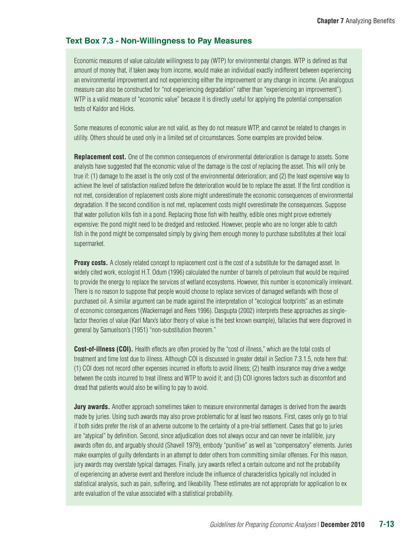## **Text Box 7.3 - Non-Willingness to Pay Measures**

Economic measures of value calculate willingness to pay (WTP) for environmental changes. WTP is defined as that amount of money that, if taken away from income, would make an individual exactly indifferent between experiencing an environmental improvement and not experiencing either the improvement or any change in income. (An analogous measure can also be constructed for "not experiencing degradation" rather than "experiencing an improvement"). WTP is a valid measure of "economic value" because it is directly useful for applying the potential compensation tests of Kaldor and Hicks.

Some measures of economic value are not valid, as they do not measure WTP, and cannot be related to changes in utility. Others should be used only in a limited set of circumstances. Some examples are provided below.

**Replacement cost.** One of the common consequences of environmental deterioration is damage to assets. Some analysts have suggested that the economic value of the damage is the cost of replacing the asset. This will only be true if: (1) damage to the asset is the only cost of the environmental deterioration; and (2) the least expensive way to achieve the level of satisfaction realized before the deterioration would be to replace the asset. If the first condition is not met, consideration of replacement costs alone might underestimate the economic consequences of environmental degradation. If the second condition is not met, replacement costs might overestimate the consequences. Suppose that water pollution kills fish in a pond. Replacing those fish with healthy, edible ones might prove extremely expensive: the pond might need to be dredged and restocked. However, people who are no longer able to catch fish in the pond might be compensated simply by giving them enough money to purchase substitutes at their local supermarket.

**Proxy costs.** A closely related concept to replacement cost is the cost of a substitute for the damaged asset. In widely cited work, ecologist H.T. Odum (1996) calculated the number of barrels of petroleum that would be required to provide the energy to replace the services of wetland ecosystems. However, this number is economically irrelevant. There is no reason to suppose that people would choose to replace services of damaged wetlands with those of purchased oil. A similar argument can be made against the interpretation of "ecological footprints" as an estimate of economic consequences (Wackernagel and Rees 1996). Dasgupta (2002) interprets these approaches as singlefactor theories of value (Karl Marx's labor theory of value is the best known example), fallacies that were disproved in general by Samuelson's (1951) "non-substitution theorem."

**Cost-of-illness (COI).** Health effects are often proxied by the "cost of illness," which are the total costs of treatment and time lost due to illness. Although COI is discussed in greater detail in Section 7.3.1.5, note here that: (1) COI does not record other expenses incurred in efforts to avoid illness; (2) health insurance may drive a wedge between the costs incurred to treat illness and WTP to avoid it; and (3) COI ignores factors such as discomfort and dread that patients would also be willing to pay to avoid.

**Jury awards.** Another approach sometimes taken to measure environmental damages is derived from the awards made by juries. Using such awards may also prove problematic for at least two reasons. First, cases only go to trial if both sides prefer the risk of an adverse outcome to the certainty of a pre-trial settlement. Cases that go to juries are "atypical" by definition. Second, since adjudication does not always occur and can never be infallible, jury awards often do, and arguably should (Shavell 1979), embody "punitive" as well as "compensatory" elements. Juries make examples of guilty defendants in an attempt to deter others from committing similar offenses. For this reason, jury awards may overstate typical damages. Finally, jury awards reflect a certain outcome and not the probability of experiencing an adverse event and therefore include the influence of characteristics typically not included in statistical analysis, such as pain, suffering, and likeability. These estimates are not appropriate for application to ex ante evaluation of the value associated with a statistical probability.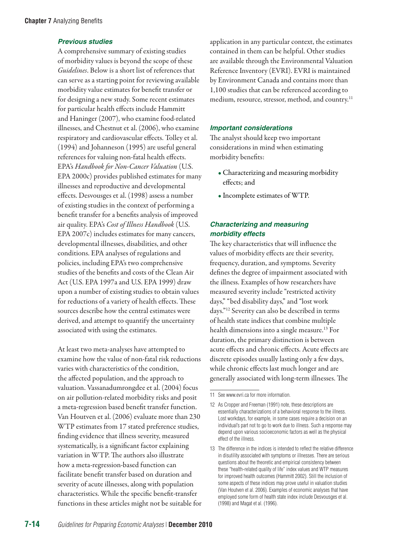## *Previous studies*

A comprehensive summary of existing studies of morbidity values is beyond the scope of these *Guidelines*. Below is a short list of references that can serve as a starting point for reviewing available morbidity value estimates for benefit transfer or for designing a new study. Some recent estimates for particular health effects include Hammitt and Haninger (2007), who examine food-related illnesses, and Chestnut et al. (2006), who examine respiratory and cardiovascular effects. Tolley et al. (1994) and Johanneson (1995) are useful general references for valuing non-fatal health effects. EPA's *Handbook for Non-Cancer Valuation* (U.S. EPA 2000c) provides published estimates for many illnesses and reproductive and developmental effects. Desvousges et al. (1998) assess a number of existing studies in the context of performing a benefit transfer for a benefits analysis of improved air quality. EPA's *Cost of Illness Handbook* (U.S. EPA 2007c) includes estimates for many cancers, developmental illnesses, disabilities, and other conditions. EPA analyses of regulations and policies, including EPA's two comprehensive studies of the benefits and costs of the Clean Air Act (U.S. EPA 1997a and U.S. EPA 1999) draw upon a number of existing studies to obtain values for reductions of a variety of health effects. These sources describe how the central estimates were derived, and attempt to quantify the uncertainty associated with using the estimates.

At least two meta-analyses have attempted to examine how the value of non-fatal risk reductions varies with characteristics of the condition, the affected population, and the approach to valuation. Vassanadumrongdee et al. (2004) focus on air pollution-related morbidity risks and posit a meta-regression based benefit transfer function. Van Houtven et al. (2006) evaluate more than 230 WTP estimates from 17 stated preference studies, finding evidence that illness severity, measured systematically, is a significant factor explaining variation in WTP. The authors also illustrate how a meta-regression-based function can facilitate benefit transfer based on duration and severity of acute illnesses, along with population characteristics. While the specific benefit-transfer functions in these articles might not be suitable for application in any particular context, the estimates contained in them can be helpful. Other studies are available through the Environmental Valuation Reference Inventory (EVRI). EVRI is maintained by Environment Canada and contains more than 1,100 studies that can be referenced according to medium, resource, stressor, method, and country.<sup>11</sup>

#### *Important considerations*

The analyst should keep two important considerations in mind when estimating morbidity benefits:

- Characterizing and measuring morbidity effects; and
- Incomplete estimates of WTP.

# *Characterizing and measuring morbidity effects*

The key characteristics that will influence the values of morbidity effects are their severity, frequency, duration, and symptoms. Severity defines the degree of impairment associated with the illness. Examples of how researchers have measured severity include "restricted activity days," "bed disability days," and "lost work days."12 Severity can also be described in terms of health state indices that combine multiple health dimensions into a single measure.<sup>13</sup> For duration, the primary distinction is between acute effects and chronic effects. Acute effects are discrete episodes usually lasting only a few days, while chronic effects last much longer and are generally associated with long-term illnesses. The

<sup>11</sup> See [www.evri.ca](http://www.evri.ca) for more information.

<sup>12</sup> As Cropper and Freeman (1991) note, these descriptions are essentially characterizations of a behavioral response to the illness. Lost workdays, for example, in some cases require a decision on an individual's part not to go to work due to illness. Such a response may depend upon various socioeconomic factors as well as the physical effect of the illness.

<sup>13</sup> The difference in the indices is intended to reflect the relative difference in disutility associated with symptoms or illnesses. There are serious questions about the theoretic and empirical consistency between these "health-related quality of life" index values and WTP measures for improved health outcomes (Hammitt 2002). Still the inclusion of some aspects of these indices may prove useful in valuation studies (Van Houtven et al. 2006). Examples of economic analyses that have employed some form of health state index include Desvousges et al. (1998) and Magat et al. (1996).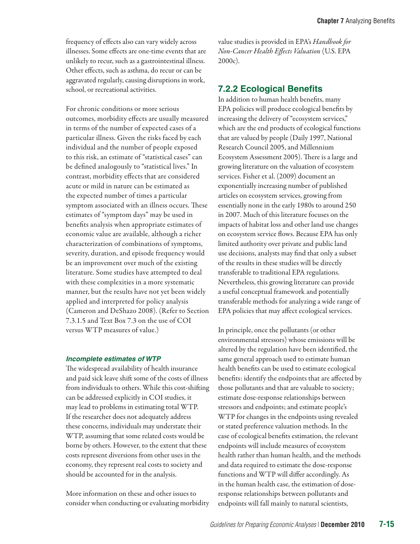For chronic conditions or more serious outcomes, morbidity effects are usually measured in terms of the number of expected cases of a particular illness. Given the risks faced by each individual and the number of people exposed to this risk, an estimate of "statistical cases" can be defined analogously to "statistical lives." In contrast, morbidity effects that are considered acute or mild in nature can be estimated as the expected number of times a particular symptom associated with an illness occurs. These estimates of "symptom days" may be used in benefits analysis when appropriate estimates of economic value are available, although a richer characterization of combinations of symptoms, severity, duration, and episode frequency would be an improvement over much of the existing literature. Some studies have attempted to deal with these complexities in a more systematic manner, but the results have not yet been widely applied and interpreted for policy analysis (Cameron and DeShazo 2008). (Refer to Section 7.3.1.5 and Text Box 7.3 on the use of COI versus WTP measures of value.)

#### *Incomplete estimates of WTP*

The widespread availability of health insurance and paid sick leave shift some of the costs of illness from individuals to others. While this cost-shifting can be addressed explicitly in COI studies, it may lead to problems in estimating total WTP. If the researcher does not adequately address these concerns, individuals may understate their WTP, assuming that some related costs would be borne by others. However, to the extent that these costs represent diversions from other uses in the economy, they represent real costs to society and should be accounted for in the analysis.

More information on these and other issues to consider when conducting or evaluating morbidity value studies is provided in EPA's *Handbook for Non-Cancer Health Effects Valuation* (U.S. EPA 2000c).

# **7.2.2 Ecological Benefits**

In addition to human health benefits, many EPA policies will produce ecological benefits by increasing the delivery of "ecosystem services," which are the end products of ecological functions that are valued by people (Daily 1997, National Research Council 2005, and Millennium Ecosystem Assessment 2005). There is a large and growing literature on the valuation of ecosystem services. Fisher et al. (2009) document an exponentially increasing number of published articles on ecosystem services, growing from essentially none in the early 1980s to around 250 in 2007. Much of this literature focuses on the impacts of habitat loss and other land use changes on ecosystem service flows. Because EPA has only limited authority over private and public land use decisions, analysts may find that only a subset of the results in these studies will be directly transferable to traditional EPA regulations. Nevertheless, this growing literature can provide a useful conceptual framework and potentially transferable methods for analyzing a wide range of EPA policies that may affect ecological services.

In principle, once the pollutants (or other environmental stressors) whose emissions will be altered by the regulation have been identified, the same general approach used to estimate human health benefits can be used to estimate ecological benefits: identify the endpoints that are affected by those pollutants and that are valuable to society; estimate dose-response relationships between stressors and endpoints; and estimate people's WTP for changes in the endpoints using revealed or stated preference valuation methods. In the case of ecological benefits estimation, the relevant endpoints will include measures of ecosystem health rather than human health, and the methods and data required to estimate the dose-response functions and WTP will differ accordingly. As in the human health case, the estimation of doseresponse relationships between pollutants and endpoints will fall mainly to natural scientists,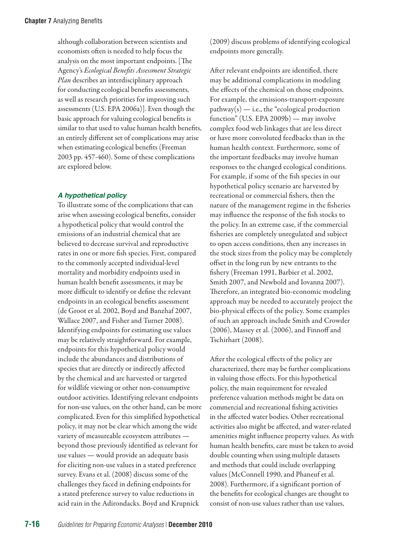although collaboration between scientists and economists often is needed to help focus the analysis on the most important endpoints. [The Agency's *Ecological Benefits Assessment Strategic Plan* describes an interdisciplinary approach for conducting ecological benefits assessments, as well as research priorities for improving such assessments (U.S. EPA 2006a)]. Even though the basic approach for valuing ecological benefits is similar to that used to value human health benefits, an entirely different set of complications may arise when estimating ecological benefits (Freeman 2003 pp. 457-460). Some of these complications are explored below.

#### *A hypothetical policy*

To illustrate some of the complications that can arise when assessing ecological benefits, consider a hypothetical policy that would control the emissions of an industrial chemical that are believed to decrease survival and reproductive rates in one or more fish species. First, compared to the commonly accepted individual-level mortality and morbidity endpoints used in human health benefit assessments, it may be more difficult to identify or define the relevant endpoints in an ecological benefits assessment (de Groot et al. 2002, Boyd and Banzhaf 2007, Wallace 2007, and Fisher and Turner 2008). Identifying endpoints for estimating use values may be relatively straightforward. For example, endpoints for this hypothetical policy would include the abundances and distributions of species that are directly or indirectly affected by the chemical and are harvested or targeted for wildlife viewing or other non-consumptive outdoor activities. Identifying relevant endpoints for non-use values, on the other hand, can be more complicated. Even for this simplified hypothetical policy, it may not be clear which among the wide variety of measureable ecosystem attributes beyond those previously identified as relevant for use values — would provide an adequate basis for eliciting non-use values in a stated preference survey. Evans et al. (2008) discuss some of the challenges they faced in defining endpoints for a stated preference survey to value reductions in acid rain in the Adirondacks. Boyd and Krupnick

(2009) discuss problems of identifying ecological endpoints more generally.

After relevant endpoints are identified, there may be additional complications in modeling the effects of the chemical on those endpoints. For example, the emissions-transport-exposure  $pathway(s)$  — i.e., the "ecological production function" (U.S. EPA 2009b) — may involve complex food web linkages that are less direct or have more convoluted feedbacks than in the human health context. Furthermore, some of the important feedbacks may involve human responses to the changed ecological conditions. For example, if some of the fish species in our hypothetical policy scenario are harvested by recreational or commercial fishers, then the nature of the management regime in the fisheries may influence the response of the fish stocks to the policy. In an extreme case, if the commercial fisheries are completely unregulated and subject to open access conditions, then any increases in the stock sizes from the policy may be completely offset in the long run by new entrants to the fishery (Freeman 1991, Barbier et al. 2002, Smith 2007, and Newbold and Iovanna 2007). Therefore, an integrated bio-economic modeling approach may be needed to accurately project the bio-physical effects of the policy. Some examples of such an approach include Smith and Crowder (2006), Massey et al. (2006), and Finnoff and Tschirhart (2008).

After the ecological effects of the policy are characterized, there may be further complications in valuing those effects. For this hypothetical policy, the main requirement for revealed preference valuation methods might be data on commercial and recreational fishing activities in the affected water bodies. Other recreational activities also might be affected, and water-related amenities might influence property values. As with human health benefits, care must be taken to avoid double counting when using multiple datasets and methods that could include overlapping values (McConnell 1990, and Phaneuf et al. 2008). Furthermore, if a significant portion of the benefits for ecological changes are thought to consist of non-use values rather than use values,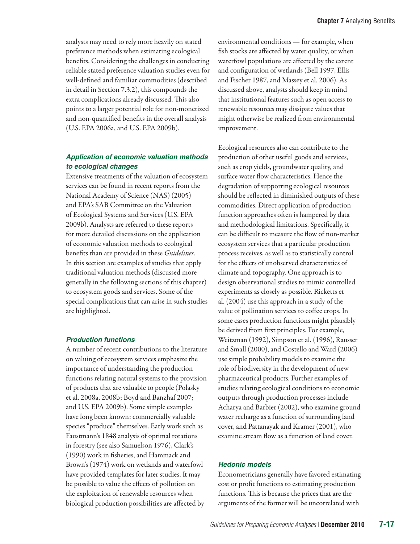analysts may need to rely more heavily on stated preference methods when estimating ecological benefits. Considering the challenges in conducting reliable stated preference valuation studies even for well-defined and familiar commodities (described in detail in Section 7.3.2), this compounds the extra complications already discussed. This also points to a larger potential role for non-monetized and non-quantified benefits in the overall analysis (U.S. EPA 2006a, and U.S. EPA 2009b).

### *Application of economic valuation methods to ecological changes*

Extensive treatments of the valuation of ecosystem services can be found in recent reports from the National Academy of Science (NAS) (2005) and EPA's SAB Committee on the Valuation of Ecological Systems and Services (U.S. EPA 2009b). Analysts are referred to these reports for more detailed discussions on the application of economic valuation methods to ecological benefits than are provided in these *Guidelines*. In this section are examples of studies that apply traditional valuation methods (discussed more generally in the following sections of this chapter) to ecosystem goods and services. Some of the special complications that can arise in such studies are highlighted.

#### *Production functions*

A number of recent contributions to the literature on valuing of ecosystem services emphasize the importance of understanding the production functions relating natural systems to the provision of products that are valuable to people (Polasky et al. 2008a, 2008b; Boyd and Banzhaf 2007; and U.S. EPA 2009b). Some simple examples have long been known: commercially valuable species "produce" themselves. Early work such as Faustmann's 1848 analysis of optimal rotations in forestry (see also Samuelson 1976), Clark's (1990) work in fisheries, and Hammack and Brown's (1974) work on wetlands and waterfowl have provided templates for later studies. It may be possible to value the effects of pollution on the exploitation of renewable resources when biological production possibilities are affected by

environmental conditions — for example, when fish stocks are affected by water quality, or when waterfowl populations are affected by the extent and configuration of wetlands (Bell 1997, Ellis and Fischer 1987, and Massey et al. 2006). As discussed above, analysts should keep in mind that institutional features such as open access to renewable resources may dissipate values that might otherwise be realized from environmental improvement.

Ecological resources also can contribute to the production of other useful goods and services, such as crop yields, groundwater quality, and surface water flow characteristics. Hence the degradation of supporting ecological resources should be reflected in diminished outputs of these commodities. Direct application of production function approaches often is hampered by data and methodological limitations. Specifically, it can be difficult to measure the flow of non-market ecosystem services that a particular production process receives, as well as to statistically control for the effects of unobserved characteristics of climate and topography. One approach is to design observational studies to mimic controlled experiments as closely as possible. Ricketts et al. (2004) use this approach in a study of the value of pollination services to coffee crops. In some cases production functions might plausibly be derived from first principles. For example, Weitzman (1992), Simpson et al. (1996), Rausser and Small (2000), and Costello and Ward (2006) use simple probability models to examine the role of biodiversity in the development of new pharmaceutical products. Further examples of studies relating ecological conditions to economic outputs through production processes include Acharya and Barbier (2002), who examine ground water recharge as a function of surrounding land cover, and Pattanayak and Kramer (2001), who examine stream flow as a function of land cover.

#### *Hedonic models*

Econometricians generally have favored estimating cost or profit functions to estimating production functions. This is because the prices that are the arguments of the former will be uncorrelated with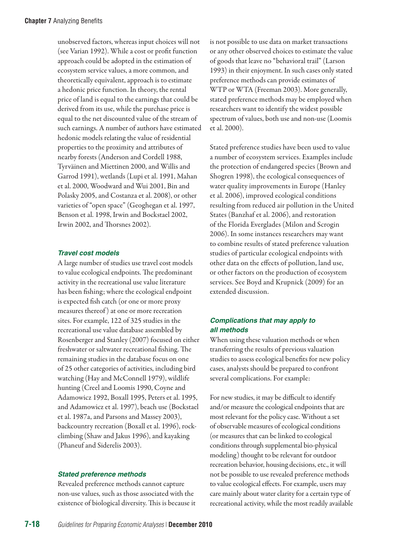unobserved factors, whereas input choices will not (see Varian 1992). While a cost or profit function approach could be adopted in the estimation of ecosystem service values, a more common, and theoretically equivalent, approach is to estimate a hedonic price function. In theory, the rental price of land is equal to the earnings that could be derived from its use, while the purchase price is equal to the net discounted value of the stream of such earnings. A number of authors have estimated hedonic models relating the value of residential properties to the proximity and attributes of nearby forests (Anderson and Cordell 1988, Tyrväinen and Miettinen 2000, and Willis and Garrod 1991), wetlands (Lupi et al. 1991, Mahan et al. 2000, Woodward and Wui 2001, Bin and Polasky 2005, and Costanza et al. 2008), or other varieties of "open space" (Geoghegan et al. 1997, Benson et al. 1998, Irwin and Bockstael 2002, Irwin 2002, and Thorsnes 2002).

#### *Travel cost models*

A large number of studies use travel cost models to value ecological endpoints. The predominant activity in the recreational use value literature has been fishing; where the ecological endpoint is expected fish catch (or one or more proxy measures thereof ) at one or more recreation sites. For example, 122 of 325 studies in the recreational use value database assembled by Rosenberger and Stanley (2007) focused on either freshwater or saltwater recreational fishing. The remaining studies in the database focus on one of 25 other categories of activities, including bird watching (Hay and McConnell 1979), wildlife hunting (Creel and Loomis 1990, Coyne and Adamowicz 1992, Boxall 1995, Peters et al. 1995, and Adamowicz et al. 1997), beach use (Bockstael et al. 1987a, and Parsons and Massey 2003), backcountry recreation (Boxall et al. 1996), rockclimbing (Shaw and Jakus 1996), and kayaking (Phaneuf and Siderelis 2003).

#### *Stated preference methods*

Revealed preference methods cannot capture non-use values, such as those associated with the existence of biological diversity. This is because it

is not possible to use data on market transactions or any other observed choices to estimate the value of goods that leave no "behavioral trail" (Larson 1993) in their enjoyment. In such cases only stated preference methods can provide estimates of WTP or WTA (Freeman 2003). More generally, stated preference methods may be employed when researchers want to identify the widest possible spectrum of values, both use and non-use (Loomis et al. 2000).

Stated preference studies have been used to value a number of ecosystem services. Examples include the protection of endangered species (Brown and Shogren 1998), the ecological consequences of water quality improvements in Europe (Hanley et al. 2006), improved ecological conditions resulting from reduced air pollution in the United States (Banzhaf et al. 2006), and restoration of the Florida Everglades (Milon and Scrogin 2006). In some instances researchers may want to combine results of stated preference valuation studies of particular ecological endpoints with other data on the effects of pollution, land use, or other factors on the production of ecosystem services. See Boyd and Krupnick (2009) for an extended discussion.

#### *Complications that may apply to all methods*

When using these valuation methods or when transferring the results of previous valuation studies to assess ecological benefits for new policy cases, analysts should be prepared to confront several complications. For example:

For new studies, it may be difficult to identify and/or measure the ecological endpoints that are most relevant for the policy case. Without a set of observable measures of ecological conditions (or measures that can be linked to ecological conditions through supplemental bio-physical modeling) thought to be relevant for outdoor recreation behavior, housing decisions, etc., it will not be possible to use revealed preference methods to value ecological effects. For example, users may care mainly about water clarity for a certain type of recreational activity, while the most readily available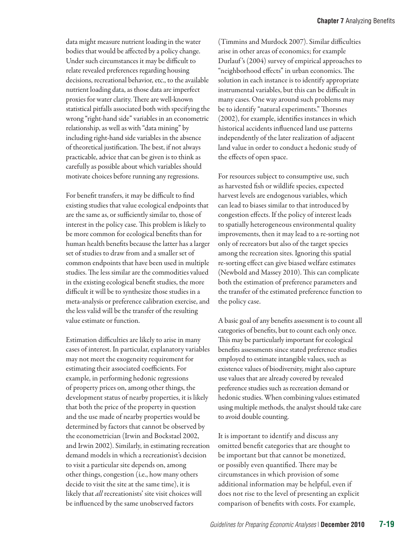data might measure nutrient loading in the water bodies that would be affected by a policy change. Under such circumstances it may be difficult to relate revealed preferences regarding housing decisions, recreational behavior, etc., to the available nutrient loading data, as those data are imperfect proxies for water clarity. There are well-known statistical pitfalls associated both with specifying the wrong "right-hand side" variables in an econometric relationship, as well as with "data mining" by including right-hand side variables in the absence of theoretical justification. The best, if not always practicable, advice that can be given is to think as carefully as possible about which variables should motivate choices before running any regressions.

For benefit transfers, it may be difficult to find existing studies that value ecological endpoints that are the same as, or sufficiently similar to, those of interest in the policy case. This problem is likely to be more common for ecological benefits than for human health benefits because the latter has a larger set of studies to draw from and a smaller set of common endpoints that have been used in multiple studies. The less similar are the commodities valued in the existing ecological benefit studies, the more difficult it will be to synthesize those studies in a meta-analysis or preference calibration exercise, and the less valid will be the transfer of the resulting value estimate or function.

Estimation difficulties are likely to arise in many cases of interest. In particular, explanatory variables may not meet the exogeneity requirement for estimating their associated coefficients. For example, in performing hedonic regressions of property prices on, among other things, the development status of nearby properties, it is likely that both the price of the property in question and the use made of nearby properties would be determined by factors that cannot be observed by the econometrician (Irwin and Bockstael 2002, and Irwin 2002). Similarly, in estimating recreation demand models in which a recreationist's decision to visit a particular site depends on, among other things, congestion (i.e., how many others decide to visit the site at the same time), it is likely that *all* recreationists' site visit choices will be influenced by the same unobserved factors

(Timmins and Murdock 2007). Similar difficulties arise in other areas of economics; for example Durlauf 's (2004) survey of empirical approaches to "neighborhood effects" in urban economics. The solution in each instance is to identify appropriate instrumental variables, but this can be difficult in many cases. One way around such problems may be to identify "natural experiments." Thorsnes (2002), for example, identifies instances in which historical accidents influenced land use patterns independently of the later realization of adjacent land value in order to conduct a hedonic study of the effects of open space.

For resources subject to consumptive use, such as harvested fish or wildlife species, expected harvest levels are endogenous variables, which can lead to biases similar to that introduced by congestion effects. If the policy of interest leads to spatially heterogeneous environmental quality improvements, then it may lead to a re-sorting not only of recreators but also of the target species among the recreation sites. Ignoring this spatial re-sorting effect can give biased welfare estimates (Newbold and Massey 2010). This can complicate both the estimation of preference parameters and the transfer of the estimated preference function to the policy case.

A basic goal of any benefits assessment is to count all categories of benefits, but to count each only once. This may be particularly important for ecological benefits assessments since stated preference studies employed to estimate intangible values, such as existence values of biodiversity, might also capture use values that are already covered by revealed preference studies such as recreation demand or hedonic studies. When combining values estimated using multiple methods, the analyst should take care to avoid double counting.

It is important to identify and discuss any omitted benefit categories that are thought to be important but that cannot be monetized, or possibly even quantified. There may be circumstances in which provision of some additional information may be helpful, even if does not rise to the level of presenting an explicit comparison of benefits with costs. For example,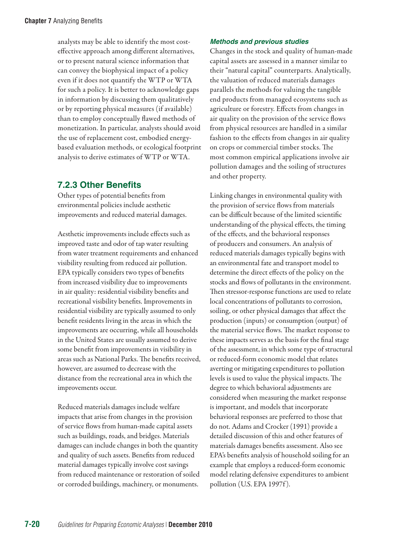analysts may be able to identify the most costeffective approach among different alternatives, or to present natural science information that can convey the biophysical impact of a policy even if it does not quantify the WTP or WTA for such a policy. It is better to acknowledge gaps in information by discussing them qualitatively or by reporting physical measures (if available) than to employ conceptually flawed methods of monetization. In particular, analysts should avoid the use of replacement cost, embodied energybased evaluation methods, or ecological footprint analysis to derive estimates of WTP or WTA.

# **7.2.3 Other Benefits**

Other types of potential benefits from environmental policies include aesthetic improvements and reduced material damages.

Aesthetic improvements include effects such as improved taste and odor of tap water resulting from water treatment requirements and enhanced visibility resulting from reduced air pollution. EPA typically considers two types of benefits from increased visibility due to improvements in air quality: residential visibility benefits and recreational visibility benefits. Improvements in residential visibility are typically assumed to only benefit residents living in the areas in which the improvements are occurring, while all households in the United States are usually assumed to derive some benefit from improvements in visibility in areas such as National Parks. The benefits received, however, are assumed to decrease with the distance from the recreational area in which the improvements occur.

Reduced materials damages include welfare impacts that arise from changes in the provision of service flows from human-made capital assets such as buildings, roads, and bridges. Materials damages can include changes in both the quantity and quality of such assets. Benefits from reduced material damages typically involve cost savings from reduced maintenance or restoration of soiled or corroded buildings, machinery, or monuments.

# *Methods and previous studies*

Changes in the stock and quality of human-made capital assets are assessed in a manner similar to their "natural capital" counterparts. Analytically, the valuation of reduced materials damages parallels the methods for valuing the tangible end products from managed ecosystems such as agriculture or forestry. Effects from changes in air quality on the provision of the service flows from physical resources are handled in a similar fashion to the effects from changes in air quality on crops or commercial timber stocks. The most common empirical applications involve air pollution damages and the soiling of structures and other property.

Linking changes in environmental quality with the provision of service flows from materials can be difficult because of the limited scientific understanding of the physical effects, the timing of the effects, and the behavioral responses of producers and consumers. An analysis of reduced materials damages typically begins with an environmental fate and transport model to determine the direct effects of the policy on the stocks and flows of pollutants in the environment. Then stressor-response functions are used to relate local concentrations of pollutants to corrosion, soiling, or other physical damages that affect the production (inputs) or consumption (output) of the material service flows. The market response to these impacts serves as the basis for the final stage of the assessment, in which some type of structural or reduced-form economic model that relates averting or mitigating expenditures to pollution levels is used to value the physical impacts. The degree to which behavioral adjustments are considered when measuring the market response is important, and models that incorporate behavioral responses are preferred to those that do not. Adams and Crocker (1991) provide a detailed discussion of this and other features of materials damages benefits assessment. Also see EPA's benefits analysis of household soiling for an example that employs a reduced-form economic model relating defensive expenditures to ambient pollution (U.S. EPA 1997f ).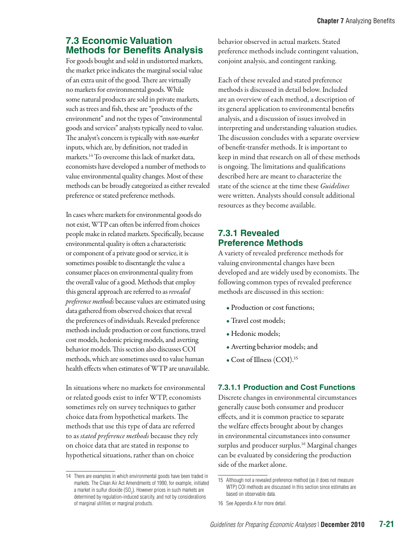# **7.3 Economic Valuation Methods for Benefits Analysis**

For goods bought and sold in undistorted markets, the market price indicates the marginal social value of an extra unit of the good. There are virtually no markets for environmental goods. While some natural products are sold in private markets, such as trees and fish, these are "products of the environment" and not the types of "environmental goods and services" analysts typically need to value. The analyst's concern is typically with *non-market*  inputs, which are, by definition, not traded in markets.14 To overcome this lack of market data, economists have developed a number of methods to value environmental quality changes. Most of these methods can be broadly categorized as either revealed preference or stated preference methods.

In cases where markets for environmental goods do not exist, WTP can often be inferred from choices people make in related markets. Specifically, because environmental quality is often a characteristic or component of a private good or service, it is sometimes possible to disentangle the value a consumer places on environmental quality from the overall value of a good. Methods that employ this general approach are referred to as *revealed preference methods* because values are estimated using data gathered from observed choices that reveal the preferences of individuals. Revealed preference methods include production or cost functions, travel cost models, hedonic pricing models, and averting behavior models. This section also discusses COI methods, which are sometimes used to value human health effects when estimates of WTP are unavailable.

In situations where no markets for environmental or related goods exist to infer WTP, economists sometimes rely on survey techniques to gather choice data from hypothetical markets. The methods that use this type of data are referred to as *stated preference methods* because they rely on choice data that are stated in response to hypothetical situations, rather than on choice

behavior observed in actual markets. Stated preference methods include contingent valuation, conjoint analysis, and contingent ranking.

Each of these revealed and stated preference methods is discussed in detail below. Included are an overview of each method, a description of its general application to environmental benefits analysis, and a discussion of issues involved in interpreting and understanding valuation studies. The discussion concludes with a separate overview of benefit-transfer methods. It is important to keep in mind that research on all of these methods is ongoing. The limitations and qualifications described here are meant to characterize the state of the science at the time these *Guidelines* were written. Analysts should consult additional resources as they become available.

# **7.3.1 Revealed Preference Methods**

A variety of revealed preference methods for valuing environmental changes have been developed and are widely used by economists. The following common types of revealed preference methods are discussed in this section:

- Production or cost functions;
- Travel cost models;
- Hedonic models;
- Averting behavior models; and
- Cost of Illness (COI).<sup>15</sup>

# **7.3.1.1 Production and Cost Functions**

Discrete changes in environmental circumstances generally cause both consumer and producer effects, and it is common practice to separate the welfare effects brought about by changes in environmental circumstances into consumer surplus and producer surplus. 16 Marginal changes can be evaluated by considering the production side of the market alone.

<sup>14</sup> There are examples in which environmental goods have been traded in markets. The Clean Air Act Amendments of 1990, for example, initiated a market in sulfur dioxide (SO<sub>2</sub>). However prices in such markets are determined by regulation-induced scarcity, and not by considerations of marginal utilities or marginal products.

<sup>15</sup> Although not a revealed preference method (as it does not measure WTP) COI methods are discussed in this section since estimates are based on observable data.

<sup>16</sup> See Appendix A for more detail.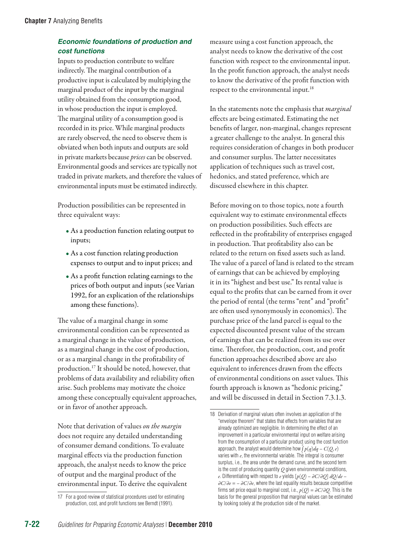# *Economic foundations of production and cost functions*

Inputs to production contribute to welfare indirectly. The marginal contribution of a productive input is calculated by multiplying the marginal product of the input by the marginal utility obtained from the consumption good, in whose production the input is employed. The marginal utility of a consumption good is recorded in its price. While marginal products are rarely observed, the need to observe them is obviated when both inputs and outputs are sold in private markets because *prices* can be observed. Environmental goods and services are typically not traded in private markets, and therefore the values of environmental inputs must be estimated indirectly.

Production possibilities can be represented in three equivalent ways:

- As a production function relating output to inputs;
- As a cost function relating production expenses to output and to input prices; and
- As a profit function relating earnings to the prices of both output and inputs (see Varian 1992, for an explication of the relationships among these functions).

The value of a marginal change in some environmental condition can be represented as a marginal change in the value of production, as a marginal change in the cost of production, or as a marginal change in the profitability of production.17 It should be noted, however, that problems of data availability and reliability often arise. Such problems may motivate the choice among these conceptually equivalent approaches, or in favor of another approach.

Note that derivation of values *on the margin* does not require any detailed understanding of consumer demand conditions. To evaluate marginal effects via the production function approach, the analyst needs to know the price of output and the marginal product of the environmental input. To derive the equivalent measure using a cost function approach, the analyst needs to know the derivative of the cost function with respect to the environmental input. In the profit function approach, the analyst needs to know the derivative of the profit function with respect to the environmental input.18

In the statements note the emphasis that *marginal* effects are being estimated. Estimating the net benefits of larger, non-marginal, changes represent a greater challenge to the analyst. In general this requires consideration of changes in both producer and consumer surplus. The latter necessitates application of techniques such as travel cost, hedonics, and stated preference, which are discussed elsewhere in this chapter.

Before moving on to those topics, note a fourth equivalent way to estimate environmental effects on production possibilities. Such effects are reflected in the profitability of enterprises engaged in production. That profitability also can be related to the return on fixed assets such as land. The value of a parcel of land is related to the stream of earnings that can be achieved by employing it in its "highest and best use." Its rental value is equal to the profits that can be earned from it over the period of rental (the terms "rent" and "profit" are often used synonymously in economics). The purchase price of the land parcel is equal to the expected discounted present value of the stream of earnings that can be realized from its use over time. Therefore, the production, cost, and profit function approaches described above are also equivalent to inferences drawn from the effects of environmental conditions on asset values. This fourth approach is known as "hedonic pricing," and will be discussed in detail in Section 7.3.1.3.

<sup>17</sup> For a good review of statistical procedures used for estimating production, cost, and profit functions see Berndt (1991).

<sup>18</sup> Derivation of marginal values often involves an application of the "envelope theorem" that states that effects from variables that are already optimized are negligible. In determining the effect of an improvement in a particular environmental input on welfare arising from the consumption of a particular product using the cost function approach, the analyst would determine how  $\overset{\circ}{f}p(q) dq - C(Q,e)$ varies with  $e$ , the environmental variable. The integral is consumer surplus, i.e., the area under the demand curve, and the second term is the cost of producing quantity *Q* given environmental conditions, *e*. Differentiating with respect to *e* yields [*p*(*Q*) – *∂C*/*∂Q*] *dQ*/*de* – *∂C*/*∂e* = – *∂C*/*∂e*, where the last equality results because competitive firms set price equal to marginal cost, i.e., *p*(*Q*) = *∂C*/*∂Q*. This is the basis for the general proposition that marginal values can be estimated by looking solely at the production side of the market.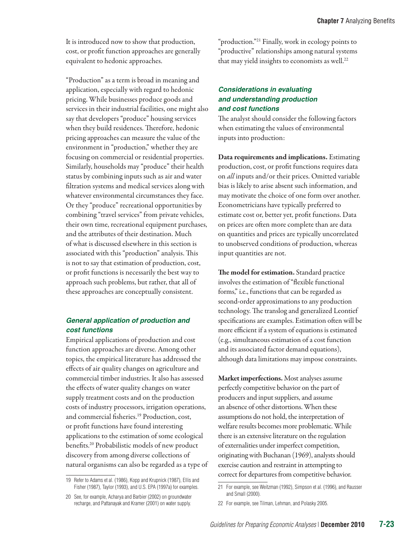It is introduced now to show that production, cost, or profit function approaches are generally equivalent to hedonic approaches.

"Production" as a term is broad in meaning and application, especially with regard to hedonic pricing. While businesses produce goods and services in their industrial facilities, one might also say that developers "produce" housing services when they build residences. Therefore, hedonic pricing approaches can measure the value of the environment in "production," whether they are focusing on commercial or residential properties. Similarly, households may "produce" their health status by combining inputs such as air and water filtration systems and medical services along with whatever environmental circumstances they face. Or they "produce" recreational opportunities by combining "travel services" from private vehicles, their own time, recreational equipment purchases, and the attributes of their destination. Much of what is discussed elsewhere in this section is associated with this "production" analysis. This is not to say that estimation of production, cost, or profit functions is necessarily the best way to approach such problems, but rather, that all of these approaches are conceptually consistent.

#### *General application of production and cost functions*

Empirical applications of production and cost function approaches are diverse. Among other topics, the empirical literature has addressed the effects of air quality changes on agriculture and commercial timber industries. It also has assessed the effects of water quality changes on water supply treatment costs and on the production costs of industry processors, irrigation operations, and commercial fisheries.<sup>19</sup> Production, cost, or profit functions have found interesting applications to the estimation of some ecological benefits. 20 Probabilistic models of new product discovery from among diverse collections of natural organisms can also be regarded as a type of "production."21 Finally, work in ecology points to "productive" relationships among natural systems that may yield insights to economists as well.<sup>22</sup>

# *Considerations in evaluating and understanding production and cost functions*

The analyst should consider the following factors when estimating the values of environmental inputs into production:

Data requirements and implications. Estimating production, cost, or profit functions requires data on *all* inputs and/or their prices. Omitted variable bias is likely to arise absent such information, and may motivate the choice of one form over another. Econometricians have typically preferred to estimate cost or, better yet, profit functions. Data on prices are often more complete than are data on quantities and prices are typically uncorrelated to unobserved conditions of production, whereas input quantities are not.

The model for estimation. Standard practice involves the estimation of "flexible functional forms," i.e., functions that can be regarded as second-order approximations to any production technology. The translog and generalized Leontief specifications are examples. Estimation often will be more efficient if a system of equations is estimated (e.g., simultaneous estimation of a cost function and its associated factor demand equations), although data limitations may impose constraints.

Market imperfections. Most analyses assume perfectly competitive behavior on the part of producers and input suppliers, and assume an absence of other distortions. When these assumptions do not hold, the interpretation of welfare results becomes more problematic. While there is an extensive literature on the regulation of externalities under imperfect competition, originating with Buchanan (1969), analysts should exercise caution and restraint in attempting to correct for departures from competitive behavior.

<sup>19</sup> Refer to Adams et al. (1986), Kopp and Krupnick (1987), Ellis and Fisher (1987), Taylor (1993), and U.S. EPA (1997a) for examples.

<sup>20</sup> See, for example, Acharya and Barbier (2002) on groundwater recharge, and Pattanayak and Kramer (2001) on water supply.

<sup>21</sup> For example, see Weitzman (1992), Simpson et al. (1996), and Rausser and Small (2000).

<sup>22</sup> For example, see Tilman, Lehman, and Polasky 2005.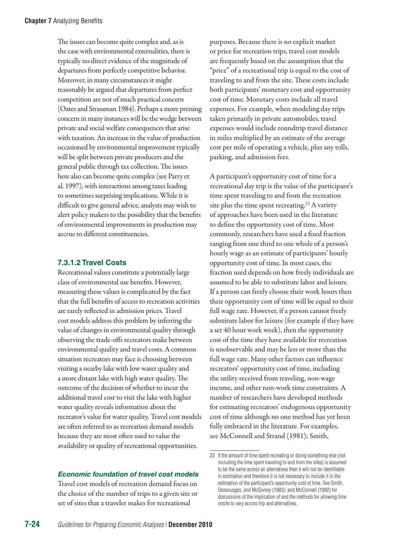The issues can become quite complex and, as is the case with environmental externalities, there is typically no direct evidence of the magnitude of departures from perfectly competitive behavior. Moreover, in many circumstances it might reasonably be argued that departures from perfect competition are not of much practical concern (Oates and Strassman 1984). Perhaps a more pressing concern in many instances will be the wedge between private and social welfare consequences that arise with taxation. An increase in the value of production occasioned by environmental improvement typically will be split between private producers and the general public through tax collection. The issues here also can become quite complex (see Parry et al. 1997), with interactions among taxes leading to sometimes surprising implications. While it is difficult to give general advice, analysts may wish to alert policy makers to the possibility that the benefits of environmental improvements in production may accrue to different constituencies.

### **7.3.1.2 Travel Costs**

Recreational values constitute a potentially large class of environmental use benefits. However, measuring these values is complicated by the fact that the full benefits of access to recreation activities are rarely reflected in admission prices. Travel cost models address this problem by inferring the value of changes in environmental quality through observing the trade-offs recreators make between environmental quality and travel costs. A common situation recreators may face is choosing between visiting a nearby lake with low water quality and a more distant lake with high water quality. The outcome of the decision of whether to incur the additional travel cost to visit the lake with higher water quality reveals information about the recreator's value for water quality. Travel cost models are often referred to as recreation demand models because they are most often used to value the availability or quality of recreational opportunities.

purposes. Because there is no explicit market or price for recreation trips, travel cost models are frequently based on the assumption that the "price" of a recreational trip is equal to the cost of traveling to and from the site. These costs include both participants' monetary cost and opportunity cost of time. Monetary costs include all travel expenses. For example, when modeling day trips taken primarily in private automobiles, travel expenses would include roundtrip travel distance in miles multiplied by an estimate of the average cost per mile of operating a vehicle, plus any tolls, parking, and admission fees.

A participant's opportunity cost of time for a recreational day trip is the value of the participant's time spent traveling to and from the recreation site plus the time spent recreating.<sup>23</sup> A variety of approaches have been used in the literature to define the opportunity cost of time. Most commonly, researchers have used a fixed fraction ranging from one third to one whole of a person's hourly wage as an estimate of participants' hourly opportunity cost of time. In most cases, the fraction used depends on how freely individuals are assumed to be able to substitute labor and leisure. If a person can freely choose their work hours then their opportunity cost of time will be equal to their full wage rate. However, if a person cannot freely substitute labor for leisure (for example if they have a set 40 hour work week), then the opportunity cost of the time they have available for recreation is unobservable and may be less or more than the full wage rate. Many other factors can influence recreators' opportunity cost of time, including the utility received from traveling, non-wage income, and other non-work time constraints. A number of researchers have developed methods for estimating recreators' endogenous opportunity cost of time although no one method has yet been fully embraced in the literature. For examples, see McConnell and Strand (1981); Smith,

#### *Economic foundation of travel cost models*

Travel cost models of recreation demand focus on the choice of the number of trips to a given site or set of sites that a traveler makes for recreational

<sup>23</sup> If the amount of time spent recreating or doing something else (not including the time spent traveling to and from the sites) is assumed to be the same across all alternatives then it will not be identifiable in estimation and therefore it is not necessary to include it in the estimation of the participant's opportunity cost of time. See Smith, Desvousges, and McGivney (1983); and McConnell (1992) for discussions of the implication of and the methods for allowing time onsite to vary across trip and alternatives.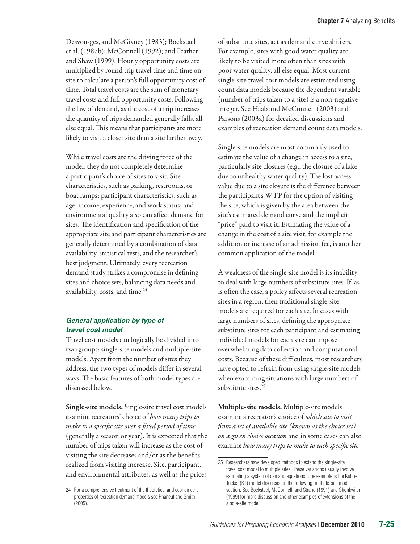Desvousges, and McGivney (1983); Bockstael et al. (1987b); McConnell (1992); and Feather and Shaw (1999). Hourly opportunity costs are multiplied by round trip travel time and time onsite to calculate a person's full opportunity cost of time. Total travel costs are the sum of monetary travel costs and full opportunity costs. Following the law of demand, as the cost of a trip increases the quantity of trips demanded generally falls, all else equal. This means that participants are more likely to visit a closer site than a site farther away.

While travel costs are the driving force of the model, they do not completely determine a participant's choice of sites to visit. Site characteristics, such as parking, restrooms, or boat ramps; participant characteristics, such as age, income, experience, and work status; and environmental quality also can affect demand for sites. The identification and specification of the appropriate site and participant characteristics are generally determined by a combination of data availability, statistical tests, and the researcher's best judgment. Ultimately, every recreation demand study strikes a compromise in defining sites and choice sets, balancing data needs and availability, costs, and time.<sup>24</sup>

#### *General application by type of travel cost model*

Travel cost models can logically be divided into two groups: single-site models and multiple-site models. Apart from the number of sites they address, the two types of models differ in several ways. The basic features of both model types are discussed below.

Single-site models. Single-site travel cost models examine recreators' choice of *how many trips to make to a specific site over a fixed period of time* (generally a season or year). It is expected that the number of trips taken will increase as the cost of visiting the site decreases and/or as the benefits realized from visiting increase. Site, participant, and environmental attributes, as well as the prices

of substitute sites, act as demand curve shifters. For example, sites with good water quality are likely to be visited more often than sites with poor water quality, all else equal. Most current single-site travel cost models are estimated using count data models because the dependent variable (number of trips taken to a site) is a non-negative integer. See Haab and McConnell (2003) and Parsons (2003a) for detailed discussions and examples of recreation demand count data models.

Single-site models are most commonly used to estimate the value of a change in access to a site, particularly site closures (e.g., the closure of a lake due to unhealthy water quality). The lost access value due to a site closure is the difference between the participant's WTP for the option of visiting the site, which is given by the area between the site's estimated demand curve and the implicit "price" paid to visit it. Estimating the value of a change in the cost of a site visit, for example the addition or increase of an admission fee, is another common application of the model.

A weakness of the single-site model is its inability to deal with large numbers of substitute sites. If, as is often the case, a policy affects several recreation sites in a region, then traditional single-site models are required for each site. In cases with large numbers of sites, defining the appropriate substitute sites for each participant and estimating individual models for each site can impose overwhelming data collection and computational costs. Because of these difficulties, most researchers have opted to refrain from using single-site models when examining situations with large numbers of substitute sites.<sup>25</sup>

Multiple-site models. Multiple-site models examine a recreator's choice of *which site to visit from a set of available site (known as the choice set) on a given choice occasion* and in some cases can also examine *how many trips to make to each specific site* 

<sup>24</sup> For a comprehensive treatment of the theoretical and econometric properties of recreation demand models see Phaneuf and Smith (2005).

<sup>25</sup> Researchers have developed methods to extend the single-site travel cost model to multiple sites. These variations usually involve estimating a system of demand equations. One example is the Kuhn-Tucker (KT) model discussed in the following multiple-site model section. See Bockstael, McConnell, and Strand (1991) and Shonkwiler (1999) for more discussion and other examples of extensions of the single-site model.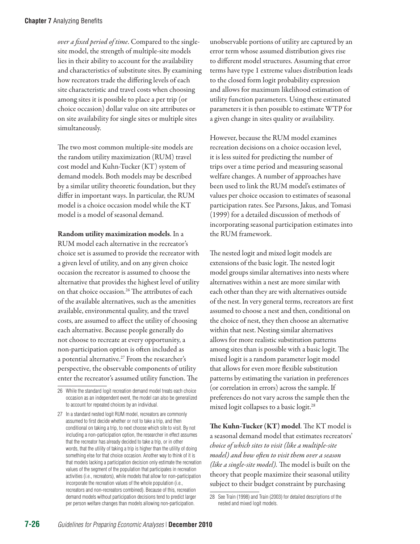*over a fixed period of time*. Compared to the singlesite model, the strength of multiple-site models lies in their ability to account for the availability and characteristics of substitute sites. By examining how recreators trade the differing levels of each site characteristic and travel costs when choosing among sites it is possible to place a per trip (or choice occasion) dollar value on site attributes or on site availability for single sites or multiple sites simultaneously.

The two most common multiple-site models are the random utility maximization (RUM) travel cost model and Kuhn-Tucker (KT) system of demand models. Both models may be described by a similar utility theoretic foundation, but they differ in important ways. In particular, the RUM model is a choice occasion model while the KT model is a model of seasonal demand.

Random utility maximization models. In a RUM model each alternative in the recreator's choice set is assumed to provide the recreator with a given level of utility, and on any given choice occasion the recreator is assumed to choose the alternative that provides the highest level of utility on that choice occasion.<sup>26</sup> The attributes of each of the available alternatives, such as the amenities available, environmental quality, and the travel costs, are assumed to affect the utility of choosing each alternative. Because people generally do not choose to recreate at every opportunity, a non-participation option is often included as a potential alternative.<sup>27</sup> From the researcher's perspective, the observable components of utility enter the recreator's assumed utility function. The

unobservable portions of utility are captured by an error term whose assumed distribution gives rise to different model structures. Assuming that error terms have type 1 extreme values distribution leads to the closed form logit probability expression and allows for maximum likelihood estimation of utility function parameters. Using these estimated parameters it is then possible to estimate WTP for a given change in sites quality or availability.

However, because the RUM model examines recreation decisions on a choice occasion level, it is less suited for predicting the number of trips over a time period and measuring seasonal welfare changes. A number of approaches have been used to link the RUM model's estimates of values per choice occasion to estimates of seasonal participation rates. See Parsons, Jakus, and Tomasi (1999) for a detailed discussion of methods of incorporating seasonal participation estimates into the RUM framework.

The nested logit and mixed logit models are extensions of the basic logit. The nested logit model groups similar alternatives into nests where alternatives within a nest are more similar with each other than they are with alternatives outside of the nest. In very general terms, recreators are first assumed to choose a nest and then, conditional on the choice of nest, they then choose an alternative within that nest. Nesting similar alternatives allows for more realistic substitution patterns among sites than is possible with a basic logit. The mixed logit is a random parameter logit model that allows for even more flexible substitution patterns by estimating the variation in preferences (or correlation in errors) across the sample. If preferences do not vary across the sample then the mixed logit collapses to a basic logit.28

The Kuhn-Tucker (KT) model. The KT model is a seasonal demand model that estimates recreators' *choice of which sites to visit (like a multiple-site model) and how often to visit them over a season (like a single-site model).* The model is built on the theory that people maximize their seasonal utility subject to their budget constraint by purchasing

<sup>26</sup> While the standard logit recreation demand model treats each choice occasion as an independent event, the model can also be generalized to account for repeated choices by an individual.

<sup>27</sup> In a standard nested logit RUM model, recreators are commonly assumed to first decide whether or not to take a trip, and then conditional on taking a trip, to next choose which site to visit. By not including a non-participation option, the researcher in effect assumes that the recreator has already decided to take a trip, or in other words, that the utility of taking a trip is higher than the utility of doing something else for that choice occasion. Another way to think of it is that models lacking a participation decision only estimate the recreation values of the segment of the population that participates in recreation activities (i.e., recreators), while models that allow for non-participation incorporate the recreation values of the whole population (i.e., recreators and non-recreators combined). Because of this, recreation demand models without participation decisions tend to predict larger per person welfare changes than models allowing non-participation.

<sup>28</sup> See Train (1998) and Train (2003) for detailed descriptions of the nested and mixed logit models.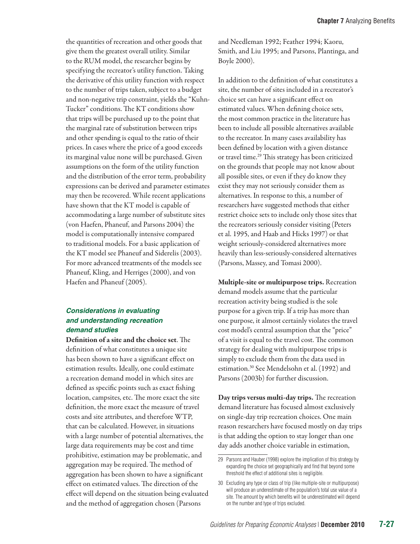the quantities of recreation and other goods that give them the greatest overall utility. Similar to the RUM model, the researcher begins by specifying the recreator's utility function. Taking the derivative of this utility function with respect to the number of trips taken, subject to a budget and non-negative trip constraint, yields the "Kuhn-Tucker" conditions. The KT conditions show that trips will be purchased up to the point that the marginal rate of substitution between trips and other spending is equal to the ratio of their prices. In cases where the price of a good exceeds its marginal value none will be purchased. Given assumptions on the form of the utility function and the distribution of the error term, probability expressions can be derived and parameter estimates may then be recovered. While recent applications have shown that the KT model is capable of accommodating a large number of substitute sites (von Haefen, Phaneuf, and Parsons 2004) the model is computationally intensive compared to traditional models. For a basic application of the KT model see Phaneuf and Siderelis (2003). For more advanced treatments of the models see Phaneuf, Kling, and Herriges (2000), and von Haefen and Phaneuf (2005).

#### *Considerations in evaluating and understanding recreation demand studies*

Definition of a site and the choice set. The definition of what constitutes a unique site has been shown to have a significant effect on estimation results. Ideally, one could estimate a recreation demand model in which sites are defined as specific points such as exact fishing location, campsites, etc. The more exact the site definition, the more exact the measure of travel costs and site attributes, and therefore WTP, that can be calculated. However, in situations with a large number of potential alternatives, the large data requirements may be cost and time prohibitive, estimation may be problematic, and aggregation may be required. The method of aggregation has been shown to have a significant effect on estimated values. The direction of the effect will depend on the situation being evaluated and the method of aggregation chosen (Parsons

and Needleman 1992; Feather 1994; Kaoru, Smith, and Liu 1995; and Parsons, Plantinga, and Boyle 2000).

In addition to the definition of what constitutes a site, the number of sites included in a recreator's choice set can have a significant effect on estimated values. When defining choice sets, the most common practice in the literature has been to include all possible alternatives available to the recreator. In many cases availability has been defined by location with a given distance or travel time.29 This strategy has been criticized on the grounds that people may not know about all possible sites, or even if they do know they exist they may not seriously consider them as alternatives. In response to this, a number of researchers have suggested methods that either restrict choice sets to include only those sites that the recreators seriously consider visiting (Peters et al. 1995, and Haab and Hicks 1997) or that weight seriously-considered alternatives more heavily than less-seriously-considered alternatives (Parsons, Massey, and Tomasi 2000).

Multiple-site or multipurpose trips. Recreation demand models assume that the particular recreation activity being studied is the sole purpose for a given trip. If a trip has more than one purpose, it almost certainly violates the travel cost model's central assumption that the "price" of a visit is equal to the travel cost. The common strategy for dealing with multipurpose trips is simply to exclude them from the data used in estimation.30 See Mendelsohn et al. (1992) and Parsons (2003b) for further discussion.

Day trips versus multi-day trips. The recreation demand literature has focused almost exclusively on single-day trip recreation choices. One main reason researchers have focused mostly on day trips is that adding the option to stay longer than one day adds another choice variable in estimation,

<sup>29</sup> Parsons and Hauber (1998) explore the implication of this strategy by expanding the choice set geographically and find that beyond some threshold the effect of additional sites is negligible.

<sup>30</sup> Excluding any type or class of trip (like multiple-site or multipurpose) will produce an underestimate of the population's total use value of a site. The amount by which benefits will be underestimated will depend on the number and type of trips excluded.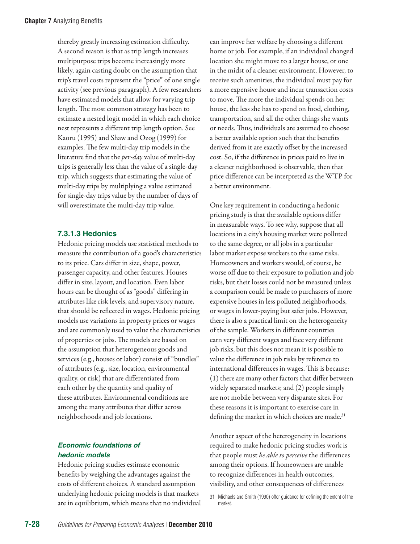thereby greatly increasing estimation difficulty. A second reason is that as trip length increases multipurpose trips become increasingly more likely, again casting doubt on the assumption that trip's travel costs represent the "price" of one single activity (see previous paragraph). A few researchers have estimated models that allow for varying trip length. The most common strategy has been to estimate a nested logit model in which each choice nest represents a different trip length option. See Kaoru (1995) and Shaw and Ozog (1999) for examples. The few multi-day trip models in the literature find that the *per-day* value of multi-day trips is generally less than the value of a single-day trip, which suggests that estimating the value of multi-day trips by multiplying a value estimated for single-day trips value by the number of days of will overestimate the multi-day trip value.

#### **7.3.1.3 Hedonics**

Hedonic pricing models use statistical methods to measure the contribution of a good's characteristics to its price. Cars differ in size, shape, power, passenger capacity, and other features. Houses differ in size, layout, and location. Even labor hours can be thought of as "goods" differing in attributes like risk levels, and supervisory nature, that should be reflected in wages. Hedonic pricing models use variations in property prices or wages and are commonly used to value the characteristics of properties or jobs. The models are based on the assumption that heterogeneous goods and services (e.g., houses or labor) consist of "bundles" of attributes (e.g., size, location, environmental quality, or risk) that are differentiated from each other by the quantity and quality of these attributes. Environmental conditions are among the many attributes that differ across neighborhoods and job locations.

### *Economic foundations of hedonic models*

Hedonic pricing studies estimate economic benefits by weighing the advantages against the costs of different choices. A standard assumption underlying hedonic pricing models is that markets are in equilibrium, which means that no individual can improve her welfare by choosing a different home or job. For example, if an individual changed location she might move to a larger house, or one in the midst of a cleaner environment. However, to receive such amenities, the individual must pay for a more expensive house and incur transaction costs to move. The more the individual spends on her house, the less she has to spend on food, clothing, transportation, and all the other things she wants or needs. Thus, individuals are assumed to choose a better available option such that the benefits derived from it are exactly offset by the increased cost. So, if the difference in prices paid to live in a cleaner neighborhood is observable, then that price difference can be interpreted as the WTP for a better environment.

One key requirement in conducting a hedonic pricing study is that the available options differ in measurable ways. To see why, suppose that all locations in a city's housing market were polluted to the same degree, or all jobs in a particular labor market expose workers to the same risks. Homeowners and workers would, of course, be worse off due to their exposure to pollution and job risks, but their losses could not be measured unless a comparison could be made to purchasers of more expensive houses in less polluted neighborhoods, or wages in lower-paying but safer jobs. However, there is also a practical limit on the heterogeneity of the sample. Workers in different countries earn very different wages and face very different job risks, but this does not mean it is possible to value the difference in job risks by reference to international differences in wages. This is because: (1) there are many other factors that differ between widely separated markets; and (2) people simply are not mobile between very disparate sites. For these reasons it is important to exercise care in defining the market in which choices are made.<sup>31</sup>

Another aspect of the heterogeneity in locations required to make hedonic pricing studies work is that people must *be able to perceive* the differences among their options. If homeowners are unable to recognize differences in health outcomes, visibility, and other consequences of differences

<sup>31</sup> Michaels and Smith (1990) offer guidance for defining the extent of the market.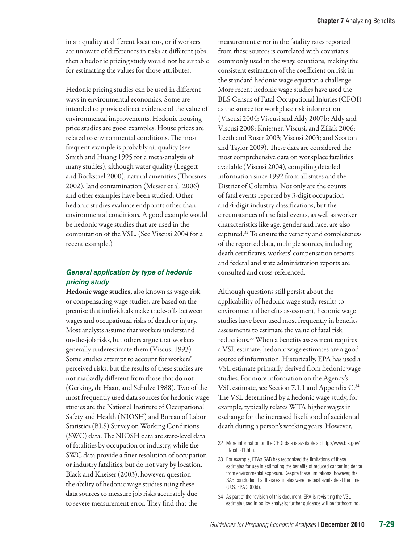in air quality at different locations, or if workers are unaware of differences in risks at different jobs, then a hedonic pricing study would not be suitable for estimating the values for those attributes.

Hedonic pricing studies can be used in different ways in environmental economics. Some are intended to provide direct evidence of the value of environmental improvements. Hedonic housing price studies are good examples. House prices are related to environmental conditions. The most frequent example is probably air quality (see Smith and Huang 1995 for a meta-analysis of many studies), although water quality (Leggett and Bockstael 2000), natural amenities (Thorsnes 2002), land contamination (Messer et al. 2006) and other examples have been studied. Other hedonic studies evaluate endpoints other than environmental conditions. A good example would be hedonic wage studies that are used in the computation of the VSL. (See Viscusi 2004 for a recent example.)

## *General application by type of hedonic pricing study*

Hedonic wage studies, also known as wage-risk or compensating wage studies, are based on the premise that individuals make trade-offs between wages and occupational risks of death or injury. Most analysts assume that workers understand on-the-job risks, but others argue that workers generally underestimate them (Viscusi 1993). Some studies attempt to account for workers' perceived risks, but the results of these studies are not markedly different from those that do not (Gerking, de Haan, and Schulze 1988). Two of the most frequently used data sources for hedonic wage studies are the National Institute of Occupational Safety and Health (NIOSH) and Bureau of Labor Statistics (BLS) Survey on Working Conditions (SWC) data. The NIOSH data are state-level data of fatalities by occupation or industry, while the SWC data provide a finer resolution of occupation or industry fatalities, but do not vary by location. Black and Kneiser (2003), however, question the ability of hedonic wage studies using these data sources to measure job risks accurately due to severe measurement error. They find that the

measurement error in the fatality rates reported from these sources is correlated with covariates commonly used in the wage equations, making the consistent estimation of the coefficient on risk in the standard hedonic wage equation a challenge. More recent hedonic wage studies have used the BLS Census of Fatal Occupational Injuries (CFOI) as the source for workplace risk information (Viscusi 2004; Viscusi and Aldy 2007b; Aldy and Viscusi 2008; Kniesner, Viscusi, and Ziliak 2006; Leeth and Ruser 2003; Viscusi 2003; and Scotton and Taylor 2009). These data are considered the most comprehensive data on workplace fatalities available (Viscusi 2004), compiling detailed information since 1992 from all states and the District of Columbia. Not only are the counts of fatal events reported by 3-digit occupation and 4-digit industry classifications, but the circumstances of the fatal events, as well as worker characteristics like age, gender and race, are also captured.32 To ensure the veracity and completeness of the reported data, multiple sources, including death certificates, workers' compensation reports and federal and state administration reports are consulted and cross-referenced.

Although questions still persist about the applicability of hedonic wage study results to environmental benefits assessment, hedonic wage studies have been used most frequently in benefits assessments to estimate the value of fatal risk reductions.33 When a benefits assessment requires a VSL estimate, hedonic wage estimates are a good source of information. Historically, EPA has used a VSL estimate primarily derived from hedonic wage studies. For more information on the Agency's VSL estimate, see Section 7.1.1 and Appendix  $C^{34}$ The VSL determined by a hedonic wage study, for example, typically relates WTA higher wages in exchange for the increased likelihood of accidental death during a person's working years. However,

<sup>32</sup> More information on the CFOI data is available at: http://www.bls.gov/ iif/oshfat1.htm.

<sup>33</sup> For example, EPA's SAB has recognized the limitations of these estimates for use in estimating the benefits of reduced cancer incidence from environmental exposure. Despite these limitations, however, the SAB concluded that these estimates were the best available at the time (U.S. EPA 2000d).

<sup>34</sup> As part of the revision of this document, EPA is revisiting the VSL estimate used in policy analysis; further guidance will be forthcoming.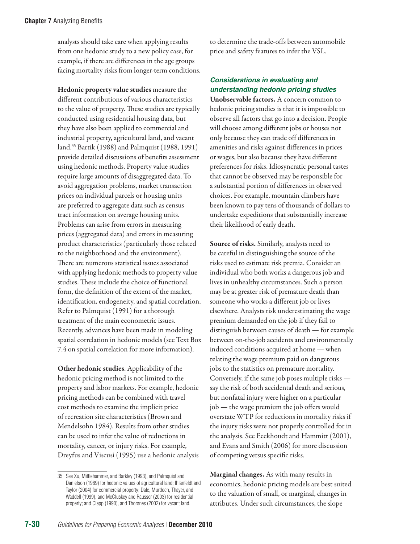analysts should take care when applying results from one hedonic study to a new policy case, for example, if there are differences in the age groups facing mortality risks from longer-term conditions.

Hedonic property value studies measure the different contributions of various characteristics to the value of property. These studies are typically conducted using residential housing data, but they have also been applied to commercial and industrial property, agricultural land, and vacant land.35 Bartik (1988) and Palmquist (1988, 1991) provide detailed discussions of benefits assessment using hedonic methods. Property value studies require large amounts of disaggregated data. To avoid aggregation problems, market transaction prices on individual parcels or housing units are preferred to aggregate data such as census tract information on average housing units. Problems can arise from errors in measuring prices (aggregated data) and errors in measuring product characteristics (particularly those related to the neighborhood and the environment). There are numerous statistical issues associated with applying hedonic methods to property value studies. These include the choice of functional form, the definition of the extent of the market, identification, endogeneity, and spatial correlation. Refer to Palmquist (1991) for a thorough treatment of the main econometric issues. Recently, advances have been made in modeling spatial correlation in hedonic models (see Text Box 7.4 on spatial correlation for more information).

Other hedonic studies. Applicability of the hedonic pricing method is not limited to the property and labor markets. For example, hedonic pricing methods can be combined with travel cost methods to examine the implicit price of recreation site characteristics (Brown and Mendelsohn 1984). Results from other studies can be used to infer the value of reductions in mortality, cancer, or injury risks. For example, Dreyfus and Viscusi (1995) use a hedonic analysis to determine the trade-offs between automobile price and safety features to infer the VSL.

# *Considerations in evaluating and understanding hedonic pricing studies*

Unobservable factors. A concern common to hedonic pricing studies is that it is impossible to observe all factors that go into a decision. People will choose among different jobs or houses not only because they can trade off differences in amenities and risks against differences in prices or wages, but also because they have different preferences for risks. Idiosyncratic personal tastes that cannot be observed may be responsible for a substantial portion of differences in observed choices. For example, mountain climbers have been known to pay tens of thousands of dollars to undertake expeditions that substantially increase their likelihood of early death.

Source of risks. Similarly, analysts need to be careful in distinguishing the source of the risks used to estimate risk premia. Consider an individual who both works a dangerous job and lives in unhealthy circumstances. Such a person may be at greater risk of premature death than someone who works a different job or lives elsewhere. Analysts risk underestimating the wage premium demanded on the job if they fail to distinguish between causes of death — for example between on-the-job accidents and environmentally induced conditions acquired at home — when relating the wage premium paid on dangerous jobs to the statistics on premature mortality. Conversely, if the same job poses multiple risks say the risk of both accidental death and serious, but nonfatal injury were higher on a particular job — the wage premium the job offers would overstate WTP for reductions in mortality risks if the injury risks were not properly controlled for in the analysis. See Eeckhoudt and Hammitt (2001), and Evans and Smith (2006) for more discussion of competing versus specific risks.

Marginal changes. As with many results in economics, hedonic pricing models are best suited to the valuation of small, or marginal, changes in attributes. Under such circumstances, the slope

<sup>35</sup> See Xu, Mittlehammer, and Barkley (1993), and Palmquist and Danielson (1989) for hedonic values of agricultural land; Ihlanfeldt and Taylor (2004) for commercial property; Dale, Murdoch, Thayer, and Waddell (1999), and McCluskey and Rausser (2003) for residential property; and Clapp (1990), and Thorsnes (2002) for vacant land.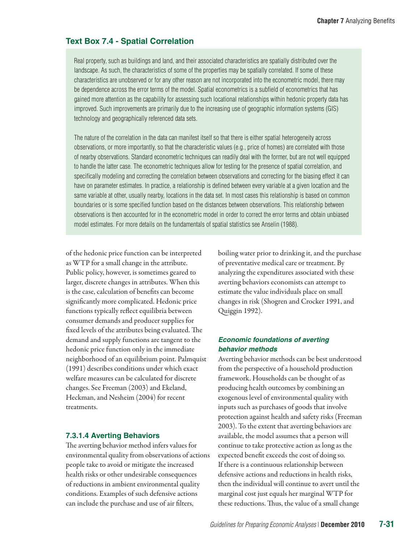# **Text Box 7.4 - Spatial Correlation**

Real property, such as buildings and land, and their associated characteristics are spatially distributed over the landscape. As such, the characteristics of some of the properties may be spatially correlated. If some of these characteristics are unobserved or for any other reason are not incorporated into the econometric model, there may be dependence across the error terms of the model. Spatial econometrics is a subfield of econometrics that has gained more attention as the capability for assessing such locational relationships within hedonic property data has improved. Such improvements are primarily due to the increasing use of geographic information systems (GIS) technology and geographically referenced data sets.

The nature of the correlation in the data can manifest itself so that there is either spatial heterogeneity across observations, or more importantly, so that the characteristic values (e.g., price of homes) are correlated with those of nearby observations. Standard econometric techniques can readily deal with the former, but are not well equipped to handle the latter case. The econometric techniques allow for testing for the presence of spatial correlation, and specifically modeling and correcting the correlation between observations and correcting for the biasing effect it can have on parameter estimates. In practice, a relationship is defined between every variable at a given location and the same variable at other, usually nearby, locations in the data set. In most cases this relationship is based on common boundaries or is some specified function based on the distances between observations. This relationship between observations is then accounted for in the econometric model in order to correct the error terms and obtain unbiased model estimates. For more details on the fundamentals of spatial statistics see Anselin (1988).

of the hedonic price function can be interpreted as WTP for a small change in the attribute. Public policy, however, is sometimes geared to larger, discrete changes in attributes. When this is the case, calculation of benefits can become significantly more complicated. Hedonic price functions typically reflect equilibria between consumer demands and producer supplies for fixed levels of the attributes being evaluated. The demand and supply functions are tangent to the hedonic price function only in the immediate neighborhood of an equilibrium point. Palmquist (1991) describes conditions under which exact welfare measures can be calculated for discrete changes. See Freeman (2003) and Ekeland, Heckman, and Nesheim (2004) for recent treatments.

#### **7.3.1.4 Averting Behaviors**

The averting behavior method infers values for environmental quality from observations of actions people take to avoid or mitigate the increased health risks or other undesirable consequences of reductions in ambient environmental quality conditions. Examples of such defensive actions can include the purchase and use of air filters,

boiling water prior to drinking it, and the purchase of preventative medical care or treatment. By analyzing the expenditures associated with these averting behaviors economists can attempt to estimate the value individuals place on small changes in risk (Shogren and Crocker 1991, and Quiggin 1992).

#### *Economic foundations of averting behavior methods*

Averting behavior methods can be best understood from the perspective of a household production framework. Households can be thought of as producing health outcomes by combining an exogenous level of environmental quality with inputs such as purchases of goods that involve protection against health and safety risks (Freeman 2003). To the extent that averting behaviors are available, the model assumes that a person will continue to take protective action as long as the expected benefit exceeds the cost of doing so. If there is a continuous relationship between defensive actions and reductions in health risks, then the individual will continue to avert until the marginal cost just equals her marginal WTP for these reductions. Thus, the value of a small change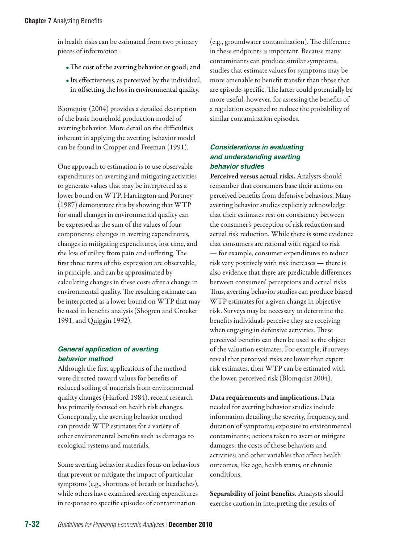in health risks can be estimated from two primary pieces of information:

- •The cost of the averting behavior or good; and
- Its effectiveness, as perceived by the individual, in offsetting the loss in environmental quality.

Blomquist (2004) provides a detailed description of the basic household production model of averting behavior. More detail on the difficulties inherent in applying the averting behavior model can be found in Cropper and Freeman (1991).

One approach to estimation is to use observable expenditures on averting and mitigating activities to generate values that may be interpreted as a lower bound on WTP. Harrington and Portney (1987) demonstrate this by showing that WTP for small changes in environmental quality can be expressed as the sum of the values of four components: changes in averting expenditures, changes in mitigating expenditures, lost time, and the loss of utility from pain and suffering. The first three terms of this expression are observable, in principle, and can be approximated by calculating changes in these costs after a change in environmental quality. The resulting estimate can be interpreted as a lower bound on WTP that may be used in benefits analysis (Shogren and Crocker 1991, and Quiggin 1992).

# *General application of averting behavior method*

Although the first applications of the method were directed toward values for benefits of reduced soiling of materials from environmental quality changes (Harford 1984), recent research has primarily focused on health risk changes. Conceptually, the averting behavior method can provide WTP estimates for a variety of other environmental benefits such as damages to ecological systems and materials.

Some averting behavior studies focus on behaviors that prevent or mitigate the impact of particular symptoms (e.g., shortness of breath or headaches), while others have examined averting expenditures in response to specific episodes of contamination

(e.g., groundwater contamination). The difference in these endpoints is important. Because many contaminants can produce similar symptoms, studies that estimate values for symptoms may be more amenable to benefit transfer than those that are episode-specific. The latter could potentially be more useful, however, for assessing the benefits of a regulation expected to reduce the probability of similar contamination episodes.

# *Considerations in evaluating and understanding averting behavior studies*

Perceived versus actual risks. Analysts should remember that consumers base their actions on perceived benefits from defensive behaviors. Many averting behavior studies explicitly acknowledge that their estimates rest on consistency between the consumer's perception of risk reduction and actual risk reduction. While there is some evidence that consumers are rational with regard to risk — for example, consumer expenditures to reduce risk vary positively with risk increases — there is also evidence that there are predictable differences between consumers' perceptions and actual risks. Thus, averting behavior studies can produce biased WTP estimates for a given change in objective risk. Surveys may be necessary to determine the benefits individuals perceive they are receiving when engaging in defensive activities. These perceived benefits can then be used as the object of the valuation estimates. For example, if surveys reveal that perceived risks are lower than expert risk estimates, then WTP can be estimated with the lower, perceived risk (Blomquist 2004).

Data requirements and implications. Data needed for averting behavior studies include information detailing the severity, frequency, and duration of symptoms; exposure to environmental contaminants; actions taken to avert or mitigate damages; the costs of those behaviors and activities; and other variables that affect health outcomes, like age, health status, or chronic conditions.

Separability of joint benefits. Analysts should exercise caution in interpreting the results of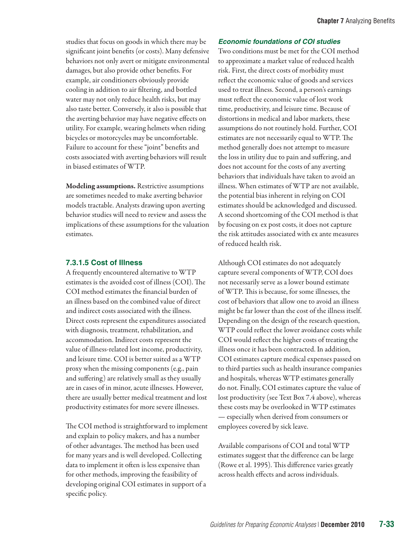studies that focus on goods in which there may be significant joint benefits (or costs). Many defensive behaviors not only avert or mitigate environmental damages, but also provide other benefits. For example, air conditioners obviously provide cooling in addition to air filtering, and bottled water may not only reduce health risks, but may also taste better. Conversely, it also is possible that the averting behavior may have negative effects on utility. For example, wearing helmets when riding bicycles or motorcycles may be uncomfortable. Failure to account for these "joint" benefits and costs associated with averting behaviors will result in biased estimates of WTP.

Modeling assumptions. Restrictive assumptions are sometimes needed to make averting behavior models tractable. Analysts drawing upon averting behavior studies will need to review and assess the implications of these assumptions for the valuation estimates.

# **7.3.1.5 Cost of Illness**

A frequently encountered alternative to WTP estimates is the avoided cost of illness (COI). The COI method estimates the financial burden of an illness based on the combined value of direct and indirect costs associated with the illness. Direct costs represent the expenditures associated with diagnosis, treatment, rehabilitation, and accommodation. Indirect costs represent the value of illness-related lost income, productivity, and leisure time. COI is better suited as a WTP proxy when the missing components (e.g., pain and suffering) are relatively small as they usually are in cases of in minor, acute illnesses. However, there are usually better medical treatment and lost productivity estimates for more severe illnesses.

The COI method is straightforward to implement and explain to policy makers, and has a number of other advantages. The method has been used for many years and is well developed. Collecting data to implement it often is less expensive than for other methods, improving the feasibility of developing original COI estimates in support of a specific policy.

#### *Economic foundations of COI studies*

Two conditions must be met for the COI method to approximate a market value of reduced health risk. First, the direct costs of morbidity must reflect the economic value of goods and services used to treat illness. Second, a person's earnings must reflect the economic value of lost work time, productivity, and leisure time. Because of distortions in medical and labor markets, these assumptions do not routinely hold. Further, COI estimates are not necessarily equal to WTP. The method generally does not attempt to measure the loss in utility due to pain and suffering, and does not account for the costs of any averting behaviors that individuals have taken to avoid an illness. When estimates of WTP are not available, the potential bias inherent in relying on COI estimates should be acknowledged and discussed. A second shortcoming of the COI method is that by focusing on ex post costs, it does not capture the risk attitudes associated with ex ante measures of reduced health risk.

Although COI estimates do not adequately capture several components of WTP, COI does not necessarily serve as a lower bound estimate of WTP. This is because, for some illnesses, the cost of behaviors that allow one to avoid an illness might be far lower than the cost of the illness itself. Depending on the design of the research question, WTP could reflect the lower avoidance costs while COI would reflect the higher costs of treating the illness once it has been contracted. In addition, COI estimates capture medical expenses passed on to third parties such as health insurance companies and hospitals, whereas WTP estimates generally do not. Finally, COI estimates capture the value of lost productivity (see Text Box 7.4 above), whereas these costs may be overlooked in WTP estimates — especially when derived from consumers or employees covered by sick leave.

Available comparisons of COI and total WTP estimates suggest that the difference can be large (Rowe et al. 1995). This difference varies greatly across health effects and across individuals.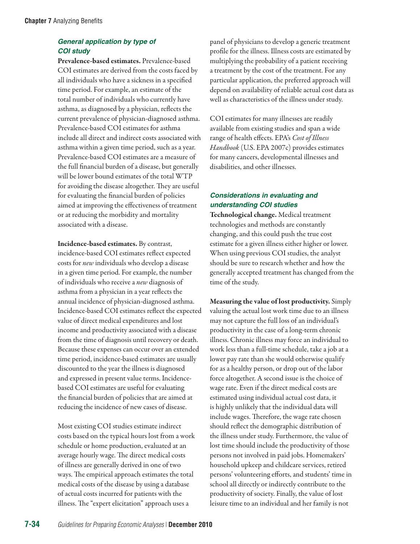# *General application by type of COI study*

Prevalence-based estimates. Prevalence-based COI estimates are derived from the costs faced by all individuals who have a sickness in a specified time period. For example, an estimate of the total number of individuals who currently have asthma, as diagnosed by a physician, reflects the current prevalence of physician-diagnosed asthma. Prevalence-based COI estimates for asthma include all direct and indirect costs associated with asthma within a given time period, such as a year. Prevalence-based COI estimates are a measure of the full financial burden of a disease, but generally will be lower bound estimates of the total WTP for avoiding the disease altogether. They are useful for evaluating the financial burden of policies aimed at improving the effectiveness of treatment or at reducing the morbidity and mortality associated with a disease.

Incidence-based estimates. By contrast, incidence-based COI estimates reflect expected costs for *new* individuals who develop a disease in a given time period. For example, the number of individuals who receive a *new* diagnosis of asthma from a physician in a year reflects the annual incidence of physician-diagnosed asthma. Incidence-based COI estimates reflect the expected value of direct medical expenditures and lost income and productivity associated with a disease from the time of diagnosis until recovery or death. Because these expenses can occur over an extended time period, incidence-based estimates are usually discounted to the year the illness is diagnosed and expressed in present value terms. Incidencebased COI estimates are useful for evaluating the financial burden of policies that are aimed at reducing the incidence of new cases of disease.

Most existing COI studies estimate indirect costs based on the typical hours lost from a work schedule or home production, evaluated at an average hourly wage. The direct medical costs of illness are generally derived in one of two ways. The empirical approach estimates the total medical costs of the disease by using a database of actual costs incurred for patients with the illness. The "expert elicitation" approach uses a

panel of physicians to develop a generic treatment profile for the illness. Illness costs are estimated by multiplying the probability of a patient receiving a treatment by the cost of the treatment. For any particular application, the preferred approach will depend on availability of reliable actual cost data as well as characteristics of the illness under study.

COI estimates for many illnesses are readily available from existing studies and span a wide range of health effects. EPA's *Cost of Illness Handbook* (U.S. EPA 2007c) provides estimates for many cancers, developmental illnesses and disabilities, and other illnesses.

# *Considerations in evaluating and understanding COI studies*

Technological change. Medical treatment technologies and methods are constantly changing, and this could push the true cost estimate for a given illness either higher or lower. When using previous COI studies, the analyst should be sure to research whether and how the generally accepted treatment has changed from the time of the study.

Measuring the value of lost productivity. Simply valuing the actual lost work time due to an illness may not capture the full loss of an individual's productivity in the case of a long-term chronic illness. Chronic illness may force an individual to work less than a full-time schedule, take a job at a lower pay rate than she would otherwise qualify for as a healthy person, or drop out of the labor force altogether. A second issue is the choice of wage rate. Even if the direct medical costs are estimated using individual actual cost data, it is highly unlikely that the individual data will include wages. Therefore, the wage rate chosen should reflect the demographic distribution of the illness under study. Furthermore, the value of lost time should include the productivity of those persons not involved in paid jobs. Homemakers' household upkeep and childcare services, retired persons' volunteering efforts, and students' time in school all directly or indirectly contribute to the productivity of society. Finally, the value of lost leisure time to an individual and her family is not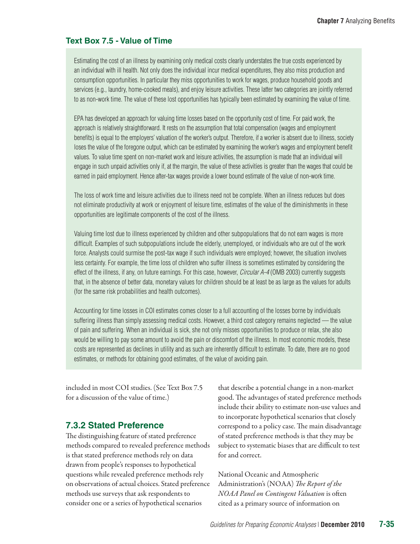#### **Text Box 7.5 - Value of Time**

Estimating the cost of an illness by examining only medical costs clearly understates the true costs experienced by an individual with ill health. Not only does the individual incur medical expenditures, they also miss production and consumption opportunities. In particular they miss opportunities to work for wages, produce household goods and services (e.g., laundry, home-cooked meals), and enjoy leisure activities. These latter two categories are jointly referred to as non-work time. The value of these lost opportunities has typically been estimated by examining the value of time.

EPA has developed an approach for valuing time losses based on the opportunity cost of time. For paid work, the approach is relatively straightforward. It rests on the assumption that total compensation (wages and employment benefits) is equal to the employers' valuation of the worker's output. Therefore, if a worker is absent due to illness, society loses the value of the foregone output, which can be estimated by examining the worker's wages and employment benefit values. To value time spent on non-market work and leisure activities, the assumption is made that an individual will engage in such unpaid activities only if, at the margin, the value of these activities is greater than the wages that could be earned in paid employment. Hence after-tax wages provide a lower bound estimate of the value of non-work time.

The loss of work time and leisure activities due to illness need not be complete. When an illness reduces but does not eliminate productivity at work or enjoyment of leisure time, estimates of the value of the diminishments in these opportunities are legitimate components of the cost of the illness.

Valuing time lost due to illness experienced by children and other subpopulations that do not earn wages is more difficult. Examples of such subpopulations include the elderly, unemployed, or individuals who are out of the work force. Analysts could surmise the post-tax wage if such individuals were employed; however, the situation involves less certainty. For example, the time loss of children who suffer illness is sometimes estimated by considering the effect of the illness, if any, on future earnings. For this case, however, *Circular A-4* (OMB 2003) currently suggests that, in the absence of better data, monetary values for children should be at least be as large as the values for adults (for the same risk probabilities and health outcomes).

Accounting for time losses in COI estimates comes closer to a full accounting of the losses borne by individuals suffering illness than simply assessing medical costs. However, a third cost category remains neglected — the value of pain and suffering. When an individual is sick, she not only misses opportunities to produce or relax, she also would be willing to pay some amount to avoid the pain or discomfort of the illness. In most economic models, these costs are represented as declines in utility and as such are inherently difficult to estimate. To date, there are no good estimates, or methods for obtaining good estimates, of the value of avoiding pain.

included in most COI studies. (See Text Box 7.5 for a discussion of the value of time.)

## **7.3.2 Stated Preference**

The distinguishing feature of stated preference methods compared to revealed preference methods is that stated preference methods rely on data drawn from people's responses to hypothetical questions while revealed preference methods rely on observations of actual choices. Stated preference methods use surveys that ask respondents to consider one or a series of hypothetical scenarios

that describe a potential change in a non-market good. The advantages of stated preference methods include their ability to estimate non-use values and to incorporate hypothetical scenarios that closely correspond to a policy case. The main disadvantage of stated preference methods is that they may be subject to systematic biases that are difficult to test for and correct.

National Oceanic and Atmospheric Administration's (NOAA) *The Report of the NOAA Panel on Contingent Valuation* is often cited as a primary source of information on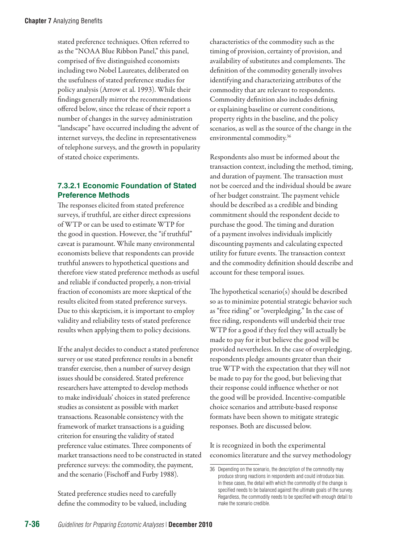stated preference techniques. Often referred to as the "NOAA Blue Ribbon Panel," this panel, comprised of five distinguished economists including two Nobel Laureates, deliberated on the usefulness of stated preference studies for policy analysis (Arrow et al. 1993). While their findings generally mirror the recommendations offered below, since the release of their report a number of changes in the survey administration "landscape" have occurred including the advent of internet surveys, the decline in representativeness of telephone surveys, and the growth in popularity of stated choice experiments.

# **7.3.2.1 Economic Foundation of Stated Preference Methods**

The responses elicited from stated preference surveys, if truthful, are either direct expressions of WTP or can be used to estimate WTP for the good in question. However, the "if truthful" caveat is paramount. While many environmental economists believe that respondents can provide truthful answers to hypothetical questions and therefore view stated preference methods as useful and reliable if conducted properly, a non-trivial fraction of economists are more skeptical of the results elicited from stated preference surveys. Due to this skepticism, it is important to employ validity and reliability tests of stated preference results when applying them to policy decisions.

If the analyst decides to conduct a stated preference survey or use stated preference results in a benefit transfer exercise, then a number of survey design issues should be considered. Stated preference researchers have attempted to develop methods to make individuals' choices in stated preference studies as consistent as possible with market transactions. Reasonable consistency with the framework of market transactions is a guiding criterion for ensuring the validity of stated preference value estimates. Three components of market transactions need to be constructed in stated preference surveys: the commodity, the payment, and the scenario (Fischoff and Furby 1988).

Stated preference studies need to carefully define the commodity to be valued, including characteristics of the commodity such as the timing of provision, certainty of provision, and availability of substitutes and complements. The definition of the commodity generally involves identifying and characterizing attributes of the commodity that are relevant to respondents. Commodity definition also includes defining or explaining baseline or current conditions, property rights in the baseline, and the policy scenarios, as well as the source of the change in the environmental commodity.36

Respondents also must be informed about the transaction context, including the method, timing, and duration of payment. The transaction must not be coerced and the individual should be aware of her budget constraint. The payment vehicle should be described as a credible and binding commitment should the respondent decide to purchase the good. The timing and duration of a payment involves individuals implicitly discounting payments and calculating expected utility for future events. The transaction context and the commodity definition should describe and account for these temporal issues.

The hypothetical scenario(s) should be described so as to minimize potential strategic behavior such as "free riding" or "overpledging." In the case of free riding, respondents will underbid their true WTP for a good if they feel they will actually be made to pay for it but believe the good will be provided nevertheless. In the case of overpledging, respondents pledge amounts greater than their true WTP with the expectation that they will not be made to pay for the good, but believing that their response could influence whether or not the good will be provided. Incentive-compatible choice scenarios and attribute-based response formats have been shown to mitigate strategic responses. Both are discussed below.

It is recognized in both the experimental economics literature and the survey methodology

<sup>36</sup> Depending on the scenario, the description of the commodity may produce strong reactions in respondents and could introduce bias. In these cases, the detail with which the commodity of the change is specified needs to be balanced against the ultimate goals of the survey. Regardless, the commodity needs to be specified with enough detail to make the scenario credible.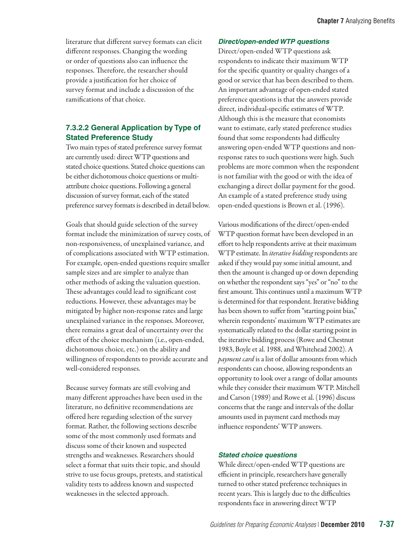literature that different survey formats can elicit different responses. Changing the wording or order of questions also can influence the responses. Therefore, the researcher should provide a justification for her choice of survey format and include a discussion of the ramifications of that choice.

# **7.3.2.2 General Application by Type of Stated Preference Study**

Two main types of stated preference survey format are currently used: direct WTP questions and stated choice questions. Stated choice questions can be either dichotomous choice questions or multiattribute choice questions. Following a general discussion of survey format, each of the stated preference survey formats is described in detail below.

Goals that should guide selection of the survey format include the minimization of survey costs, of non-responsiveness, of unexplained variance, and of complications associated with WTP estimation. For example, open-ended questions require smaller sample sizes and are simpler to analyze than other methods of asking the valuation question. These advantages could lead to significant cost reductions. However, these advantages may be mitigated by higher non-response rates and large unexplained variance in the responses. Moreover, there remains a great deal of uncertainty over the effect of the choice mechanism (i.e., open-ended, dichotomous choice, etc.) on the ability and willingness of respondents to provide accurate and well-considered responses.

Because survey formats are still evolving and many different approaches have been used in the literature, no definitive recommendations are offered here regarding selection of the survey format. Rather, the following sections describe some of the most commonly used formats and discuss some of their known and suspected strengths and weaknesses. Researchers should select a format that suits their topic, and should strive to use focus groups, pretests, and statistical validity tests to address known and suspected weaknesses in the selected approach.

#### *Direct/open-ended WTP questions*

Direct/open-ended WTP questions ask respondents to indicate their maximum WTP for the specific quantity or quality changes of a good or service that has been described to them. An important advantage of open-ended stated preference questions is that the answers provide direct, individual-specific estimates of WTP. Although this is the measure that economists want to estimate, early stated preference studies found that some respondents had difficulty answering open-ended WTP questions and nonresponse rates to such questions were high. Such problems are more common when the respondent is not familiar with the good or with the idea of exchanging a direct dollar payment for the good. An example of a stated preference study using open-ended questions is Brown et al. (1996).

Various modifications of the direct/open-ended WTP question format have been developed in an effort to help respondents arrive at their maximum WTP estimate. In *iterative bidding* respondents are asked if they would pay some initial amount, and then the amount is changed up or down depending on whether the respondent says "yes" or "no" to the first amount. This continues until a maximum WTP is determined for that respondent. Iterative bidding has been shown to suffer from "starting point bias," wherein respondents' maximum WTP estimates are systematically related to the dollar starting point in the iterative bidding process (Rowe and Chestnut 1983, Boyle et al. 1988, and Whitehead 2002). A *payment card* is a list of dollar amounts from which respondents can choose, allowing respondents an opportunity to look over a range of dollar amounts while they consider their maximum WTP. Mitchell and Carson (1989) and Rowe et al. (1996) discuss concerns that the range and intervals of the dollar amounts used in payment card methods may influence respondents' WTP answers.

#### *Stated choice questions*

While direct/open-ended WTP questions are efficient in principle, researchers have generally turned to other stated preference techniques in recent years. This is largely due to the difficulties respondents face in answering direct WTP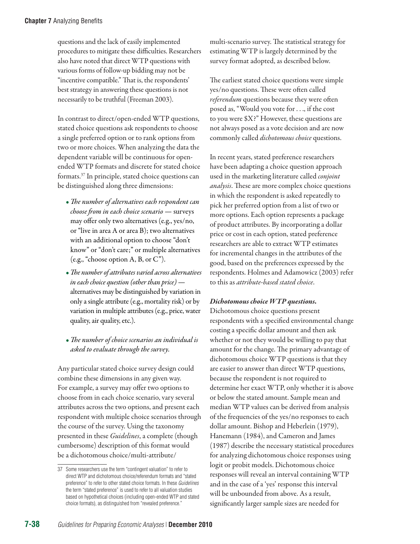questions and the lack of easily implemented procedures to mitigate these difficulties. Researchers also have noted that direct WTP questions with various forms of follow-up bidding may not be "incentive compatible." That is, the respondents' best strategy in answering these questions is not necessarily to be truthful (Freeman 2003).

In contrast to direct/open-ended WTP questions, stated choice questions ask respondents to choose a single preferred option or to rank options from two or more choices. When analyzing the data the dependent variable will be continuous for openended WTP formats and discrete for stated choice formats.37 In principle, stated choice questions can be distinguished along three dimensions:

- *The number of alternatives each respondent can choose from in each choice scenario* — surveys may offer only two alternatives (e.g., yes/no, or "live in area A or area B); two alternatives with an additional option to choose "don't know" or "don't care;" or multiple alternatives (e.g., "choose option A, B, or C").
- •*The number of attributes varied across alternatives in each choice question (other than price)* alternatives may be distinguished by variation in only a single attribute (e.g., mortality risk) or by variation in multiple attributes (e.g., price, water quality, air quality, etc.).
- *The number of choice scenarios an individual is asked to evaluate through the survey.*

Any particular stated choice survey design could combine these dimensions in any given way. For example, a survey may offer two options to choose from in each choice scenario, vary several attributes across the two options, and present each respondent with multiple choice scenarios through the course of the survey. Using the taxonomy presented in these *Guidelines*, a complete (though cumbersome) description of this format would be a dichotomous choice/multi-attribute/

multi-scenario survey. The statistical strategy for estimating WTP is largely determined by the survey format adopted, as described below.

The earliest stated choice questions were simple yes/no questions. These were often called *referendum* questions because they were often posed as, "Would you vote for . . ., if the cost to you were \$X?" However, these questions are not always posed as a vote decision and are now commonly called *dichotomous choice* questions.

In recent years, stated preference researchers have been adapting a choice question approach used in the marketing literature called *conjoint analysis*. These are more complex choice questions in which the respondent is asked repeatedly to pick her preferred option from a list of two or more options. Each option represents a package of product attributes. By incorporating a dollar price or cost in each option, stated preference researchers are able to extract WTP estimates for incremental changes in the attributes of the good, based on the preferences expressed by the respondents. Holmes and Adamowicz (2003) refer to this as *attribute-based stated choice*.

# *Dichotomous choice WTP questions.*

Dichotomous choice questions present respondents with a specified environmental change costing a specific dollar amount and then ask whether or not they would be willing to pay that amount for the change. The primary advantage of dichotomous choice WTP questions is that they are easier to answer than direct WTP questions, because the respondent is not required to determine her exact WTP, only whether it is above or below the stated amount. Sample mean and median WTP values can be derived from analysis of the frequencies of the yes/no responses to each dollar amount. Bishop and Heberlein (1979), Hanemann (1984), and Cameron and James (1987) describe the necessary statistical procedures for analyzing dichotomous choice responses using logit or probit models. Dichotomous choice responses will reveal an interval containing WTP and in the case of a 'yes' response this interval will be unbounded from above. As a result, significantly larger sample sizes are needed for

<sup>37</sup> Some researchers use the term "contingent valuation" to refer to direct WTP and dichotomous choice/referendum formats and "stated preference" to refer to other stated choice formats. In these *Guidelines* the term "stated preference" is used to refer to all valuation studies based on hypothetical choices (including open-ended WTP and stated choice formats), as distinguished from "revealed preference."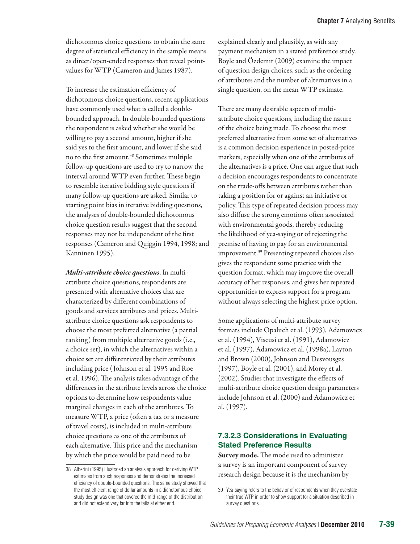dichotomous choice questions to obtain the same degree of statistical efficiency in the sample means as direct/open-ended responses that reveal pointvalues for WTP (Cameron and James 1987).

To increase the estimation efficiency of dichotomous choice questions, recent applications have commonly used what is called a doublebounded approach. In double-bounded questions the respondent is asked whether she would be willing to pay a second amount, higher if she said yes to the first amount, and lower if she said no to the first amount.<sup>38</sup> Sometimes multiple follow-up questions are used to try to narrow the interval around WTP even further. These begin to resemble iterative bidding style questions if many follow-up questions are asked. Similar to starting point bias in iterative bidding questions, the analyses of double-bounded dichotomous choice question results suggest that the second responses may not be independent of the first responses (Cameron and Quiggin 1994, 1998; and Kanninen 1995).

*Multi-attribute choice questions*. In multiattribute choice questions, respondents are presented with alternative choices that are characterized by different combinations of goods and services attributes and prices. Multiattribute choice questions ask respondents to choose the most preferred alternative (a partial ranking) from multiple alternative goods (i.e., a choice set), in which the alternatives within a choice set are differentiated by their attributes including price ( Johnson et al. 1995 and Roe et al. 1996). The analysis takes advantage of the differences in the attribute levels across the choice options to determine how respondents value marginal changes in each of the attributes. To measure WTP, a price (often a tax or a measure of travel costs), is included in multi-attribute choice questions as one of the attributes of each alternative. This price and the mechanism by which the price would be paid need to be

explained clearly and plausibly, as with any payment mechanism in a stated preference study. Boyle and Özdemir (2009) examine the impact of question design choices, such as the ordering of attributes and the number of alternatives in a single question, on the mean WTP estimate.

There are many desirable aspects of multiattribute choice questions, including the nature of the choice being made. To choose the most preferred alternative from some set of alternatives is a common decision experience in posted-price markets, especially when one of the attributes of the alternatives is a price. One can argue that such a decision encourages respondents to concentrate on the trade-offs between attributes rather than taking a position for or against an initiative or policy. This type of repeated decision process may also diffuse the strong emotions often associated with environmental goods, thereby reducing the likelihood of yea-saying or of rejecting the premise of having to pay for an environmental improvement.39 Presenting repeated choices also gives the respondent some practice with the question format, which may improve the overall accuracy of her responses, and gives her repeated opportunities to express support for a program without always selecting the highest price option.

Some applications of multi-attribute survey formats include Opaluch et al. (1993), Adamowicz et al*.* (1994), Viscusi et al. (1991), Adamowicz et al. (1997), Adamowicz et al. (1998a), Layton and Brown (2000), Johnson and Desvousges (1997), Boyle et al. (2001), and Morey et al. (2002). Studies that investigate the effects of multi-attribute choice question design parameters include Johnson et al. (2000) and Adamowicz et al. (1997).

# **7.3.2.3 Considerations in Evaluating Stated Preference Results**

Survey mode. The mode used to administer a survey is an important component of survey research design because it is the mechanism by

<sup>38</sup> Alberini (1995) illustrated an analysis approach for deriving WTP estimates from such responses and demonstrates the increased efficiency of double-bounded questions. The same study showed that the most efficient range of dollar amounts in a dichotomous choice study design was one that covered the mid-range of the distribution and did not extend very far into the tails at either end.

<sup>39</sup> Yea-saying refers to the behavior of respondents when they overstate their true WTP in order to show support for a situation described in survey questions.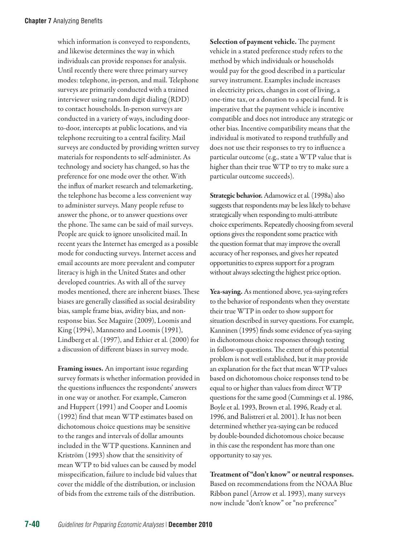which information is conveyed to respondents, and likewise determines the way in which individuals can provide responses for analysis. Until recently there were three primary survey modes: telephone, in-person, and mail. Telephone surveys are primarily conducted with a trained interviewer using random digit dialing (RDD) to contact households. In-person surveys are conducted in a variety of ways, including doorto-door, intercepts at public locations, and via telephone recruiting to a central facility. Mail surveys are conducted by providing written survey materials for respondents to self-administer. As technology and society has changed, so has the preference for one mode over the other. With the influx of market research and telemarketing, the telephone has become a less convenient way to administer surveys. Many people refuse to answer the phone, or to answer questions over the phone. The same can be said of mail surveys. People are quick to ignore unsolicited mail. In recent years the Internet has emerged as a possible mode for conducting surveys. Internet access and email accounts are more prevalent and computer literacy is high in the United States and other developed countries. As with all of the survey modes mentioned, there are inherent biases. These biases are generally classified as social desirability bias, sample frame bias, avidity bias, and nonresponse bias. See Maguire (2009), Loomis and King (1994), Mannesto and Loomis (1991), Lindberg et al. (1997), and Ethier et al. (2000) for a discussion of different biases in survey mode.

Framing issues. An important issue regarding survey formats is whether information provided in the questions influences the respondents' answers in one way or another. For example, Cameron and Huppert (1991) and Cooper and Loomis (1992) find that mean WTP estimates based on dichotomous choice questions may be sensitive to the ranges and intervals of dollar amounts included in the WTP questions. Kanninen and Kriström (1993) show that the sensitivity of mean WTP to bid values can be caused by model misspecification, failure to include bid values that cover the middle of the distribution, or inclusion of bids from the extreme tails of the distribution.

Selection of payment vehicle. The payment vehicle in a stated preference study refers to the method by which individuals or households would pay for the good described in a particular survey instrument. Examples include increases in electricity prices, changes in cost of living, a one-time tax, or a donation to a special fund. It is imperative that the payment vehicle is incentive compatible and does not introduce any strategic or other bias. Incentive compatibility means that the individual is motivated to respond truthfully and does not use their responses to try to influence a particular outcome (e.g., state a WTP value that is higher than their true WTP to try to make sure a particular outcome succeeds).

Strategic behavior. Adamowicz et al*.* (1998a) also suggests that respondents may be less likely to behave strategically when responding to multi-attribute choice experiments. Repeatedly choosing from several options gives the respondent some practice with the question format that may improve the overall accuracy of her responses, and gives her repeated opportunities to express support for a program without always selecting the highest price option.

Yea-saying. As mentioned above, yea-saying refers to the behavior of respondents when they overstate their true WTP in order to show support for situation described in survey questions. For example, Kanninen (1995) finds some evidence of yea-saying in dichotomous choice responses through testing in follow-up questions. The extent of this potential problem is not well established, but it may provide an explanation for the fact that mean WTP values based on dichotomous choice responses tend to be equal to or higher than values from direct WTP questions for the same good (Cummings et al. 1986, Boyle et al. 1993, Brown et al. 1996, Ready et al. 1996, and Balistreri et al. 2001). It has not been determined whether yea-saying can be reduced by double-bounded dichotomous choice because in this case the respondent has more than one opportunity to say yes.

Treatment of "don't know" or neutral responses. Based on recommendations from the NOAA Blue Ribbon panel (Arrow et al. 1993), many surveys now include "don't know" or "no preference"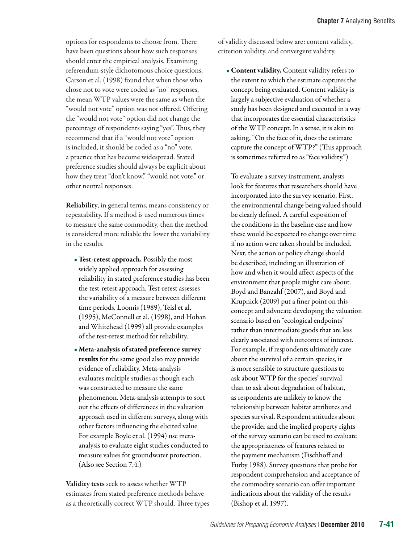options for respondents to choose from. There have been questions about how such responses should enter the empirical analysis. Examining referendum-style dichotomous choice questions, Carson et al. (1998) found that when those who chose not to vote were coded as "no" responses, the mean WTP values were the same as when the "would not vote" option was not offered. Offering the "would not vote" option did not change the percentage of respondents saying "yes". Thus, they recommend that if a "would not vote" option is included, it should be coded as a "no" vote, a practice that has become widespread. Stated preference studies should always be explicit about how they treat "don't know," "would not vote," or other neutral responses.

Reliability, in general terms, means consistency or repeatability. If a method is used numerous times to measure the same commodity, then the method is considered more reliable the lower the variability in the results.

- •Test-retest approach. Possibly the most widely applied approach for assessing reliability in stated preference studies has been the test-retest approach. Test-retest assesses the variability of a measure between different time periods. Loomis (1989), Teisl et al. (1995), McConnell et al. (1998), and Hoban and Whitehead (1999) all provide examples of the test-retest method for reliability.
- Meta-analysis of stated preference survey results for the same good also may provide evidence of reliability. Meta-analysis evaluates multiple studies as though each was constructed to measure the same phenomenon. Meta-analysis attempts to sort out the effects of differences in the valuation approach used in different surveys, along with other factors influencing the elicited value. For example Boyle et al. (1994) use metaanalysis to evaluate eight studies conducted to measure values for groundwater protection. (Also see Section 7.4.)

Validity tests seek to assess whether WTP estimates from stated preference methods behave as a theoretically correct WTP should. Three types of validity discussed below are: content validity, criterion validity, and convergent validity.

• Content validity. Content validity refers to the extent to which the estimate captures the concept being evaluated. Content validity is largely a subjective evaluation of whether a study has been designed and executed in a way that incorporates the essential characteristics of the WTP concept. In a sense, it is akin to asking, "On the face of it, does the estimate capture the concept of WTP?" (This approach is sometimes referred to as "face validity.")

To evaluate a survey instrument, analysts look for features that researchers should have incorporated into the survey scenario. First, the environmental change being valued should be clearly defined. A careful exposition of the conditions in the baseline case and how these would be expected to change over time if no action were taken should be included. Next, the action or policy change should be described, including an illustration of how and when it would affect aspects of the environment that people might care about. Boyd and Banzahf (2007), and Boyd and Krupnick (2009) put a finer point on this concept and advocate developing the valuation scenario based on "ecological endpoints" rather than intermediate goods that are less clearly associated with outcomes of interest. For example, if respondents ultimately care about the survival of a certain species, it is more sensible to structure questions to ask about WTP for the species' survival than to ask about degradation of habitat, as respondents are unlikely to know the relationship between habitat attributes and species survival. Respondent attitudes about the provider and the implied property rights of the survey scenario can be used to evaluate the appropriateness of features related to the payment mechanism (Fischhoff and Furby 1988). Survey questions that probe for respondent comprehension and acceptance of the commodity scenario can offer important indications about the validity of the results (Bishop et al. 1997).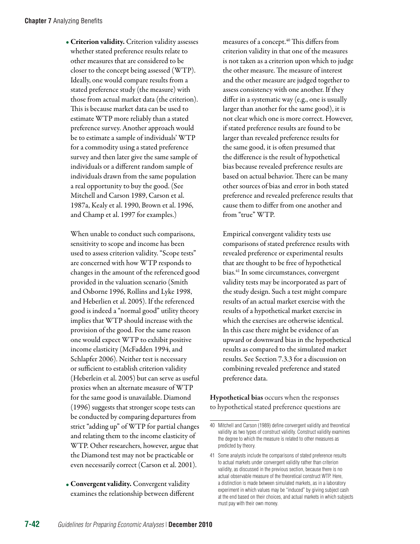• Criterion validity. Criterion validity assesses whether stated preference results relate to other measures that are considered to be closer to the concept being assessed (WTP). Ideally, one would compare results from a stated preference study (the measure) with those from actual market data (the criterion). This is because market data can be used to estimate WTP more reliably than a stated preference survey. Another approach would be to estimate a sample of individuals' WTP for a commodity using a stated preference survey and then later give the same sample of individuals or a different random sample of individuals drawn from the same population a real opportunity to buy the good. (See Mitchell and Carson 1989, Carson et al. 1987a, Kealy et al. 1990, Brown et al. 1996, and Champ et al. 1997 for examples.)

When unable to conduct such comparisons, sensitivity to scope and income has been used to assess criterion validity. "Scope tests" are concerned with how WTP responds to changes in the amount of the referenced good provided in the valuation scenario (Smith and Osborne 1996, Rollins and Lyke 1998, and Heberlien et al. 2005). If the referenced good is indeed a "normal good" utility theory implies that WTP should increase with the provision of the good. For the same reason one would expect WTP to exhibit positive income elasticity (McFadden 1994, and Schlapfer 2006). Neither test is necessary or sufficient to establish criterion validity (Heberlein et al. 2005) but can serve as useful proxies when an alternate measure of WTP for the same good is unavailable. Diamond (1996) suggests that stronger scope tests can be conducted by comparing departures from strict "adding up" of WTP for partial changes and relating them to the income elasticity of WTP. Other researchers, however, argue that the Diamond test may not be practicable or even necessarily correct (Carson et al. 2001).

• Convergent validity. Convergent validity examines the relationship between different measures of a concept.<sup>40</sup> This differs from criterion validity in that one of the measures is not taken as a criterion upon which to judge the other measure. The measure of interest and the other measure are judged together to assess consistency with one another. If they differ in a systematic way (e.g., one is usually larger than another for the same good), it is not clear which one is more correct. However, if stated preference results are found to be larger than revealed preference results for the same good, it is often presumed that the difference is the result of hypothetical bias because revealed preference results are based on actual behavior. There can be many other sources of bias and error in both stated preference and revealed preference results that cause them to differ from one another and from "true" WTP.

Empirical convergent validity tests use comparisons of stated preference results with revealed preference or experimental results that are thought to be free of hypothetical bias.41 In some circumstances, convergent validity tests may be incorporated as part of the study design. Such a test might compare results of an actual market exercise with the results of a hypothetical market exercise in which the exercises are otherwise identical. In this case there might be evidence of an upward or downward bias in the hypothetical results as compared to the simulated market results. See Section 7.3.3 for a discussion on combining revealed preference and stated preference data.

Hypothetical bias occurs when the responses to hypothetical stated preference questions are

<sup>40</sup> Mitchell and Carson (1989) define convergent validity and theoretical validity as two types of construct validity. Construct validity examines the degree to which the measure is related to other measures as predicted by theory.

<sup>41</sup> Some analysts include the comparisons of stated preference results to actual markets under convergent validity rather than criterion validity, as discussed in the previous section, because there is no actual observable measure of the theoretical construct WTP. Here, a distinction is made between simulated markets, as in a laboratory experiment in which values may be "induced" by giving subject cash at the end based on their choices, and actual markets in which subjects must pay with their own money.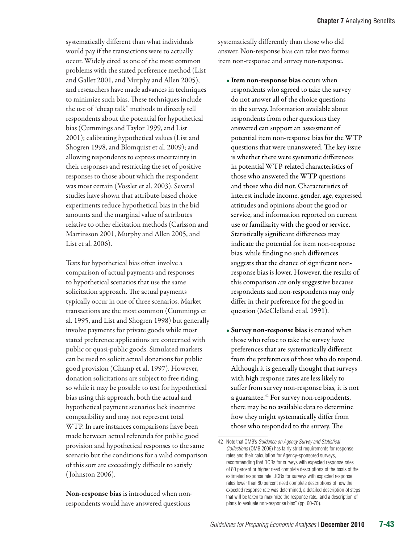systematically different than what individuals would pay if the transactions were to actually occur. Widely cited as one of the most common problems with the stated preference method (List and Gallet 2001, and Murphy and Allen 2005), and researchers have made advances in techniques to minimize such bias. These techniques include the use of "cheap talk" methods to directly tell respondents about the potential for hypothetical bias (Cummings and Taylor 1999, and List 2001); calibrating hypothetical values (List and Shogren 1998, and Blomquist et al. 2009); and allowing respondents to express uncertainty in their responses and restricting the set of positive responses to those about which the respondent was most certain (Vossler et al. 2003). Several studies have shown that attribute-based choice experiments reduce hypothetical bias in the bid amounts and the marginal value of attributes relative to other elicitation methods (Carlsson and Martinsson 2001, Murphy and Allen 2005, and List et al. 2006).

Tests for hypothetical bias often involve a comparison of actual payments and responses to hypothetical scenarios that use the same solicitation approach. The actual payments typically occur in one of three scenarios. Market transactions are the most common (Cummings et al. 1995, and List and Shogren 1998) but generally involve payments for private goods while most stated preference applications are concerned with public or quasi-public goods. Simulated markets can be used to solicit actual donations for public good provision (Champ et al. 1997). However, donation solicitations are subject to free riding, so while it may be possible to test for hypothetical bias using this approach, both the actual and hypothetical payment scenarios lack incentive compatibility and may not represent total WTP. In rare instances comparisons have been made between actual referenda for public good provision and hypothetical responses to the same scenario but the conditions for a valid comparison of this sort are exceedingly difficult to satisfy ( Johnston 2006).

Non-response bias is introduced when nonrespondents would have answered questions

systematically differently than those who did answer. Non-response bias can take two forms: item non-response and survey non-response.

- Item non-response bias occurs when respondents who agreed to take the survey do not answer all of the choice questions in the survey. Information available about respondents from other questions they answered can support an assessment of potential item non-response bias for the WTP questions that were unanswered. The key issue is whether there were systematic differences in potential WTP-related characteristics of those who answered the WTP questions and those who did not. Characteristics of interest include income, gender, age, expressed attitudes and opinions about the good or service, and information reported on current use or familiarity with the good or service. Statistically significant differences may indicate the potential for item non-response bias, while finding no such differences suggests that the chance of significant nonresponse bias is lower. However, the results of this comparison are only suggestive because respondents and non-respondents may only differ in their preference for the good in question (McClelland et al. 1991).
- Survey non-response bias is created when those who refuse to take the survey have preferences that are systematically different from the preferences of those who do respond. Although it is generally thought that surveys with high response rates are less likely to suffer from survey non-response bias, it is not a guarantee.<sup>42</sup> For survey non-respondents, there may be no available data to determine how they might systematically differ from those who responded to the survey. The

<sup>42</sup> Note that OMB's *Guidance on Agency Survey and Statistical Collections* (OMB 2006) has fairly strict requirements for response rates and their calculation for Agency-sponsored surveys, recommending that "ICRs for surveys with expected response rates of 80 percent or higher need complete descriptions of the basis of the estimated response rate...ICRs for surveys with expected response rates lower than 80 percent need complete descriptions of how the expected response rate was determined, a detailed description of steps that will be taken to maximize the response rate...and a description of plans to evaluate non-response bias" (pp. 60-70).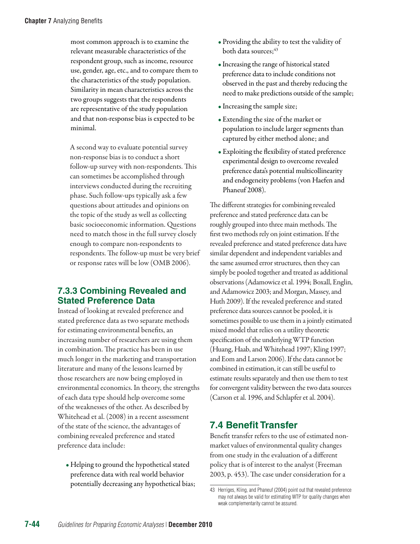most common approach is to examine the relevant measurable characteristics of the respondent group, such as income, resource use, gender, age, etc., and to compare them to the characteristics of the study population. Similarity in mean characteristics across the two groups suggests that the respondents are representative of the study population and that non-response bias is expected to be minimal.

A second way to evaluate potential survey non-response bias is to conduct a short follow-up survey with non-respondents. This can sometimes be accomplished through interviews conducted during the recruiting phase. Such follow-ups typically ask a few questions about attitudes and opinions on the topic of the study as well as collecting basic socioeconomic information. Questions need to match those in the full survey closely enough to compare non-respondents to respondents. The follow-up must be very brief or response rates will be low (OMB 2006).

# **7.3.3 Combining Revealed and Stated Preference Data**

Instead of looking at revealed preference and stated preference data as two separate methods for estimating environmental benefits, an increasing number of researchers are using them in combination. The practice has been in use much longer in the marketing and transportation literature and many of the lessons learned by those researchers are now being employed in environmental economics. In theory, the strengths of each data type should help overcome some of the weaknesses of the other. As described by Whitehead et al. (2008) in a recent assessment of the state of the science, the advantages of combining revealed preference and stated preference data include:

• Helping to ground the hypothetical stated preference data with real world behavior potentially decreasing any hypothetical bias;

- Providing the ability to test the validity of both data sources; $43$
- Increasing the range of historical stated preference data to include conditions not observed in the past and thereby reducing the need to make predictions outside of the sample;
- Increasing the sample size;
- Extending the size of the market or population to include larger segments than captured by either method alone; and
- Exploiting the flexibility of stated preference experimental design to overcome revealed preference data's potential multicollinearity and endogeneity problems (von Haefen and Phaneuf 2008).

The different strategies for combining revealed preference and stated preference data can be roughly grouped into three main methods. The first two methods rely on joint estimation. If the revealed preference and stated preference data have similar dependent and independent variables and the same assumed error structures, then they can simply be pooled together and treated as additional observations (Adamowicz et al. 1994; Boxall, Englin, and Adamowicz 2003; and Morgan, Massey, and Huth 2009). If the revealed preference and stated preference data sources cannot be pooled, it is sometimes possible to use them in a jointly estimated mixed model that relies on a utility theoretic specification of the underlying WTP function (Huang, Haab, and Whitehead 1997; Kling 1997; and Eom and Larson 2006). If the data cannot be combined in estimation, it can still be useful to estimate results separately and then use them to test for convergent validity between the two data sources (Carson et al. 1996, and Schlapfer et al. 2004).

# **7.4 Benefit Transfer**

Benefit transfer refers to the use of estimated nonmarket values of environmental quality changes from one study in the evaluation of a different policy that is of interest to the analyst (Freeman 2003, p. 453). The case under consideration for a

<sup>43</sup> Herriges, Kling, and Phaneuf (2004) point out that revealed preference may not always be valid for estimating WTP for quality changes when weak complementarity cannot be assured.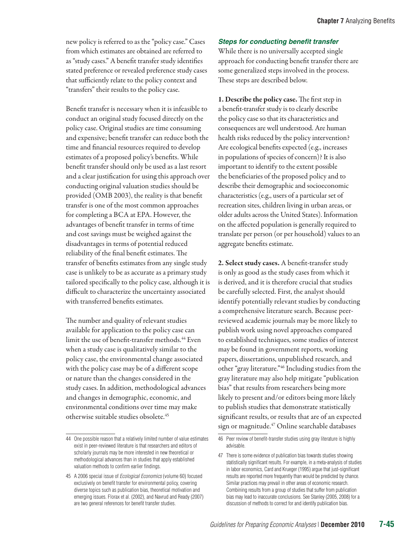new policy is referred to as the "policy case." Cases from which estimates are obtained are referred to as "study cases." A benefit transfer study identifies stated preference or revealed preference study cases that sufficiently relate to the policy context and "transfers" their results to the policy case.

Benefit transfer is necessary when it is infeasible to conduct an original study focused directly on the policy case. Original studies are time consuming and expensive; benefit transfer can reduce both the time and financial resources required to develop estimates of a proposed policy's benefits. While benefit transfer should only be used as a last resort and a clear justification for using this approach over conducting original valuation studies should be provided (OMB 2003), the reality is that benefit transfer is one of the most common approaches for completing a BCA at EPA. However, the advantages of benefit transfer in terms of time and cost savings must be weighed against the disadvantages in terms of potential reduced reliability of the final benefit estimates. The transfer of benefits estimates from any single study case is unlikely to be as accurate as a primary study tailored specifically to the policy case, although it is difficult to characterize the uncertainty associated with transferred benefits estimates.

The number and quality of relevant studies available for application to the policy case can limit the use of benefit-transfer methods.<sup>44</sup> Even when a study case is qualitatively similar to the policy case, the environmental change associated with the policy case may be of a different scope or nature than the changes considered in the study cases. In addition, methodological advances and changes in demographic, economic, and environmental conditions over time may make otherwise suitable studies obsolete.45

#### *Steps for conducting benefit transfer*

While there is no universally accepted single approach for conducting benefit transfer there are some generalized steps involved in the process. These steps are described below.

1. Describe the policy case. The first step in a benefit-transfer study is to clearly describe the policy case so that its characteristics and consequences are well understood. Are human health risks reduced by the policy intervention? Are ecological benefits expected (e.g., increases in populations of species of concern)? It is also important to identify to the extent possible the beneficiaries of the proposed policy and to describe their demographic and socioeconomic characteristics (e.g., users of a particular set of recreation sites, children living in urban areas, or older adults across the United States). Information on the affected population is generally required to translate per person (or per household) values to an aggregate benefits estimate.

2. Select study cases. A benefit-transfer study is only as good as the study cases from which it is derived, and it is therefore crucial that studies be carefully selected. First, the analyst should identify potentially relevant studies by conducting a comprehensive literature search. Because peerreviewed academic journals may be more likely to publish work using novel approaches compared to established techniques, some studies of interest may be found in government reports, working papers, dissertations, unpublished research, and other "gray literature."46 Including studies from the gray literature may also help mitigate "publication bias" that results from researchers being more likely to present and/or editors being more likely to publish studies that demonstrate statistically significant results, or results that are of an expected sign or magnitude.<sup>47</sup> Online searchable databases

<sup>44</sup> One possible reason that a relatively limited number of value estimates exist in peer-reviewed literature is that researchers and editors of scholarly journals may be more interested in new theoretical or methodological advances than in studies that apply established valuation methods to confirm earlier findings.

<sup>45</sup> A 2006 special issue of *Ecological Economics* (volume 60) focused exclusively on benefit transfer for environmental policy, covering diverse topics such as publication bias, theoretical motivation and emerging issues. Florax et al. (2002), and Navrud and Ready (2007) are two general references for benefit transfer studies.

<sup>46</sup> Peer review of benefit-transfer studies using gray literature is highly advisable.

<sup>47</sup> There is some evidence of publication bias towards studies showing statistically significant results. For example, in a meta-analysis of studies in labor economics, Card and Krueger (1995) argue that just-significant results are reported more frequently than would be predicted by chance. Similar practices may prevail in other areas of economic research. Combining results from a group of studies that suffer from publication bias may lead to inaccurate conclusions. See Stanley (2005, 2008) for a discussion of methods to correct for and identify publication bias.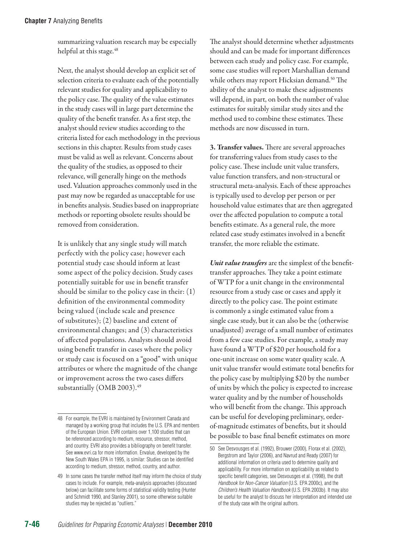summarizing valuation research may be especially helpful at this stage.<sup>48</sup>

Next, the analyst should develop an explicit set of selection criteria to evaluate each of the potentially relevant studies for quality and applicability to the policy case. The quality of the value estimates in the study cases will in large part determine the quality of the benefit transfer. As a first step, the analyst should review studies according to the criteria listed for each methodology in the previous sections in this chapter. Results from study cases must be valid as well as relevant. Concerns about the quality of the studies, as opposed to their relevance, will generally hinge on the methods used. Valuation approaches commonly used in the past may now be regarded as unacceptable for use in benefits analysis. Studies based on inappropriate methods or reporting obsolete results should be removed from consideration.

It is unlikely that any single study will match perfectly with the policy case; however each potential study case should inform at least some aspect of the policy decision. Study cases potentially suitable for use in benefit transfer should be similar to the policy case in their: (1) definition of the environmental commodity being valued (include scale and presence of substitutes); (2) baseline and extent of environmental changes; and (3) characteristics of affected populations. Analysts should avoid using benefit transfer in cases where the policy or study case is focused on a "good" with unique attributes or where the magnitude of the change or improvement across the two cases differs substantially (OMB 2003).<sup>49</sup>

The analyst should determine whether adjustments should and can be made for important differences between each study and policy case. For example, some case studies will report Marshallian demand while others may report Hicksian demand.<sup>50</sup> The ability of the analyst to make these adjustments will depend, in part, on both the number of value estimates for suitably similar study sites and the method used to combine these estimates. These methods are now discussed in turn.

3. Transfer values. There are several approaches for transferring values from study cases to the policy case. These include unit value transfers, value function transfers, and non-structural or structural meta-analysis. Each of these approaches is typically used to develop per person or per household value estimates that are then aggregated over the affected population to compute a total benefits estimate. As a general rule, the more related case study estimates involved in a benefit transfer, the more reliable the estimate.

*Unit value transfers* are the simplest of the benefittransfer approaches. They take a point estimate of WTP for a unit change in the environmental resource from a study case or cases and apply it directly to the policy case. The point estimate is commonly a single estimated value from a single case study, but it can also be the (otherwise unadjusted) average of a small number of estimates from a few case studies. For example, a study may have found a WTP of \$20 per household for a one-unit increase on some water quality scale. A unit value transfer would estimate total benefits for the policy case by multiplying \$20 by the number of units by which the policy is expected to increase water quality and by the number of households who will benefit from the change. This approach can be useful for developing preliminary, orderof-magnitude estimates of benefits, but it should be possible to base final benefit estimates on more

<sup>48</sup> For example, the EVRI is maintained by Environment Canada and managed by a working group that includes the U.S. EPA and members of the European Union. EVRI contains over 1,100 studies that can be referenced according to medium, resource, stressor, method, and country. EVRI also provides a bibliography on benefit transfer. See [www.evri.ca](http://www.evri.ca) for more information. Envalue, developed by the New South Wales EPA in 1995, is similar: Studies can be identified according to medium, stressor, method, country, and author.

<sup>49</sup> In some cases the transfer method itself may inform the choice of study cases to include. For example, meta-analysis approaches (discussed below) can facilitate some forms of statistical validity testing (Hunter and Schmidt 1990, and Stanley 2001), so some otherwise suitable studies may be rejected as "outliers."

<sup>50</sup> See Desvousges et al. (1992), Brouwer (2000), Florax et al. (2002), Bergstrom and Taylor (2006), and Navrud and Ready (2007) for additional information on criteria used to determine quality and applicability. For more information on applicability as related to specific benefit categories, see Desvousges et al. (1998), the draft *Handbook for Non-Cancer Valuation* (U.S. EPA 2000c), and the *Children's Health Valuation Handbook* (U.S. EPA 2003b). It may also be useful for the analyst to discuss her interpretation and intended use of the study case with the original authors.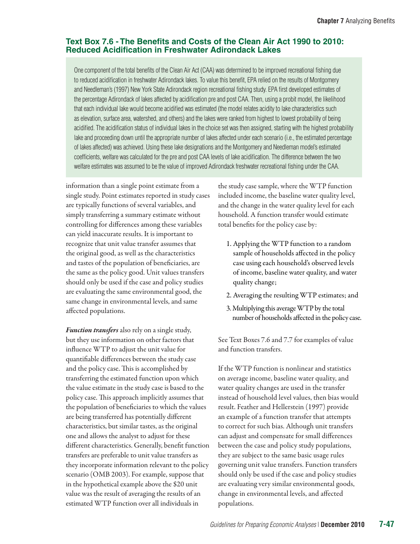# **Text Box 7.6 - The Benefits and Costs of the Clean Air Act 1990 to 2010: Reduced Acidification in Freshwater Adirondack Lakes**

One component of the total benefits of the Clean Air Act (CAA) was determined to be improved recreational fishing due to reduced acidification in freshwater Adirondack lakes. To value this benefit, EPA relied on the results of Montgomery and Needleman's (1997) New York State Adirondack region recreational fishing study. EPA first developed estimates of the percentage Adirondack of lakes affected by acidification pre and post CAA. Then, using a probit model, the likelihood that each individual lake would become acidified was estimated (the model relates acidity to lake characteristics such as elevation, surface area, watershed, and others) and the lakes were ranked from highest to lowest probability of being acidified. The acidification status of individual lakes in the choice set was then assigned, starting with the highest probability lake and proceeding down until the appropriate number of lakes affected under each scenario (i.e., the estimated percentage of lakes affected) was achieved. Using these lake designations and the Montgomery and Needleman model's estimated coefficients, welfare was calculated for the pre and post CAA levels of lake acidification. The difference between the two welfare estimates was assumed to be the value of improved Adirondack freshwater recreational fishing under the CAA.

information than a single point estimate from a single study. Point estimates reported in study cases are typically functions of several variables, and simply transferring a summary estimate without controlling for differences among these variables can yield inaccurate results. It is important to recognize that unit value transfer assumes that the original good, as well as the characteristics and tastes of the population of beneficiaries, are the same as the policy good. Unit values transfers should only be used if the case and policy studies are evaluating the same environmental good, the same change in environmental levels, and same affected populations.

*Function transfers* also rely on a single study, but they use information on other factors that influence WTP to adjust the unit value for quantifiable differences between the study case and the policy case. This is accomplished by transferring the estimated function upon which the value estimate in the study case is based to the policy case. This approach implicitly assumes that the population of beneficiaries to which the values are being transferred has potentially different characteristics, but similar tastes, as the original one and allows the analyst to adjust for these different characteristics. Generally, benefit function transfers are preferable to unit value transfers as they incorporate information relevant to the policy scenario (OMB 2003). For example, suppose that in the hypothetical example above the \$20 unit value was the result of averaging the results of an estimated WTP function over all individuals in

the study case sample, where the WTP function included income, the baseline water quality level, and the change in the water quality level for each household. A function transfer would estimate total benefits for the policy case by:

- 1. Applying the WTP function to a random sample of households affected in the policy case using each household's observed levels of income, baseline water quality, and water quality change;
- 2. Averaging the resulting WTP estimates; and
- 3. Multiplying this average WTP by the total number of households affected in the policy case.

See Text Boxes 7.6 and 7.7 for examples of value and function transfers.

If the WTP function is nonlinear and statistics on average income, baseline water quality, and water quality changes are used in the transfer instead of household level values, then bias would result. Feather and Hellerstein (1997) provide an example of a function transfer that attempts to correct for such bias. Although unit transfers can adjust and compensate for small differences between the case and policy study populations, they are subject to the same basic usage rules governing unit value transfers. Function transfers should only be used if the case and policy studies are evaluating very similar environmental goods, change in environmental levels, and affected populations.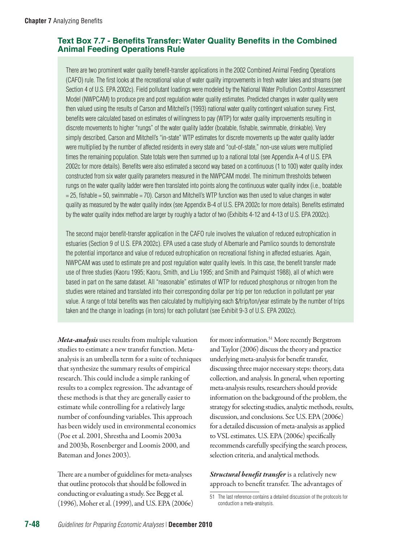# **Text Box 7.7 - Benefits Transfer: Water Quality Benefits in the Combined Animal Feeding Operations Rule**

There are two prominent water quality benefit-transfer applications in the 2002 Combined Animal Feeding Operations (CAFO) rule. The first looks at the recreational value of water quality improvements in fresh water lakes and streams (see Section 4 of U.S. EPA 2002c). Field pollutant loadings were modeled by the National Water Pollution Control Assessment Model (NWPCAM) to produce pre and post regulation water quality estimates. Predicted changes in water quality were then valued using the results of Carson and Mitchell's (1993) national water quality contingent valuation survey. First, benefits were calculated based on estimates of willingness to pay (WTP) for water quality improvements resulting in discrete movements to higher "rungs" of the water quality ladder (boatable, fishable, swimmable, drinkable). Very simply described, Carson and Mitchell's "in-state" WTP estimates for discrete movements up the water quality ladder were multiplied by the number of affected residents in every state and "out-of-state," non-use values were multiplied times the remaining population. State totals were then summed up to a national total (see Appendix A-4 of U.S. EPA 2002c for more details). Benefits were also estimated a second way based on a continuous (1 to 100) water quality index constructed from six water quality parameters measured in the NWPCAM model. The minimum thresholds between rungs on the water quality ladder were then translated into points along the continuous water quality index (i.e., boatable = 25, fishable = 50, swimmable = 70). Carson and Mitchell's WTP function was then used to value changes in water quality as measured by the water quality index (see Appendix B-4 of U.S. EPA 2002c for more details). Benefits estimated by the water quality index method are larger by roughly a factor of two (Exhibits 4-12 and 4-13 of U.S. EPA 2002c).

The second major benefit-transfer application in the CAFO rule involves the valuation of reduced eutrophication in estuaries (Section 9 of U.S. EPA 2002c). EPA used a case study of Albemarle and Pamlico sounds to demonstrate the potential importance and value of reduced eutrophication on recreational fishing in affected estuaries. Again, NWPCAM was used to estimate pre and post regulation water quality levels. In this case, the benefit transfer made use of three studies (Kaoru 1995; Kaoru, Smith, and Liu 1995; and Smith and Palmquist 1988), all of which were based in part on the same dataset. All "reasonable" estimates of WTP for reduced phosphorus or nitrogen from the studies were retained and translated into their corresponding dollar per trip per ton reduction in pollutant per year value. A range of total benefits was then calculated by multiplying each \$/trip/ton/year estimate by the number of trips taken and the change in loadings (in tons) for each pollutant (see Exhibit 9-3 of U.S. EPA 2002c).

*Meta-analysis* uses results from multiple valuation studies to estimate a new transfer function. Metaanalysis is an umbrella term for a suite of techniques that synthesize the summary results of empirical research. This could include a simple ranking of results to a complex regression. The advantage of these methods is that they are generally easier to estimate while controlling for a relatively large number of confounding variables. This approach has been widely used in environmental economics (Poe et al. 2001, Shrestha and Loomis 2003a and 2003b, Rosenberger and Loomis 2000, and Bateman and Jones 2003).

There are a number of guidelines for meta-analyses that outline protocols that should be followed in conducting or evaluating a study. See Begg et al. (1996), Moher et al. (1999), and U.S. EPA (2006e)

for more information.<sup>51</sup> More recently Bergstrom and Taylor (2006) discuss the theory and practice underlying meta-analysis for benefit transfer, discussing three major necessary steps: theory, data collection, and analysis. In general, when reporting meta-analysis results, researchers should provide information on the background of the problem, the strategy for selecting studies, analytic methods, results, discussion, and conclusions. See U.S. EPA (2006e) for a detailed discussion of meta-analysis as applied to VSL estimates. U.S. EPA (2006e) specifically recommends carefully specifying the search process, selection criteria, and analytical methods.

*Structural benefit transfer* is a relatively new approach to benefit transfer. The advantages of

<sup>51</sup> The last reference contains a detailed discussion of the protocols for conduction a meta-analsysis.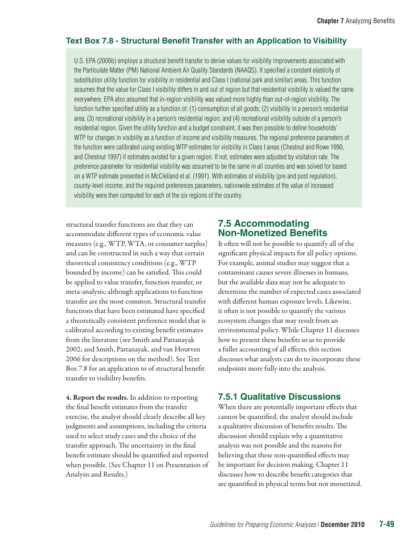# **Text Box 7.8 - Structural Benefit Transfer with an Application to Visibility**

U.S. EPA (2006b) employs a structural benefit transfer to derive values for visibility improvements associated with the Particulate Matter (PM) National Ambient Air Quality Standards (NAAQS). It specified a constant elasticity of substitution utility function for visibility in residential and Class I (national park and similar) areas. This function assumes that the value for Class I visibility differs in and out of region but that residential visibility is valued the same everywhere. EPA also assumed that in-region visibility was valued more highly than out-of-region visibility. The function further specified utility as a function of: (1) consumption of all goods; (2) visibility in a person's residential area; (3) recreational visibility in a person's residential region; and (4) recreational visibility outside of a person's residential region. Given the utility function and a budget constraint, it was then possible to define households' WTP for changes in visibility as a function of income and visibility measures. The regional preference parameters of the function were calibrated using existing WTP estimates for visibility in Class I areas (Chestnut and Rowe 1990, and Chestnut 1997) if estimates existed for a given region. If not, estimates were adjusted by visitation rate. The preference parameter for residential visibility was assumed to be the same in all counties and was solved for based on a WTP estimate presented in McClelland et al. (1991). With estimates of visibility (pre and post regulation), county-level income, and the required preferences parameters, nationwide estimates of the value of increased visibility were then computed for each of the six regions of the country.

structural transfer functions are that they can accommodate different types of economic value measures (e.g., WTP, WTA, or consumer surplus) and can be constructed in such a way that certain theoretical consistency conditions (e.g., WTP bounded by income) can be satisfied. This could be applied to value transfer, function transfer, or meta-analysis; although applications to function transfer are the most common. Structural transfer functions that have been estimated have specified a theoretically consistent preference model that is calibrated according to existing benefit estimates from the literature (see Smith and Pattanayak 2002; and Smith, Pattanayak, and van Houtven 2006 for descriptions on the method). See Text Box 7.8 for an application to of structural benefit transfer to visibility benefits.

4. Report the results. In addition to reporting the final benefit estimates from the transfer exercise, the analyst should clearly describe all key judgments and assumptions, including the criteria used to select study cases and the choice of the transfer approach. The uncertainty in the final benefit estimate should be quantified and reported when possible. (See Chapter 11 on Presentation of Analysis and Results.)

# **7.5 Accommodating Non-Monetized Benefits**

It often will not be possible to quantify all of the significant physical impacts for all policy options. For example, animal studies may suggest that a contaminant causes severe illnesses in humans, but the available data may not be adequate to determine the number of expected cases associated with different human exposure levels. Likewise, it often is not possible to quantify the various ecosystem changes that may result from an environmental policy. While Chapter 11 discusses how to present these benefits so as to provide a fuller accounting of all effects, this section discusses what analysts can do to incorporate these endpoints more fully into the analysis.

# **7.5.1 Qualitative Discussions**

When there are potentially important effects that cannot be quantified, the analyst should include a qualitative discussion of benefits results. The discussion should explain why a quantitative analysis was not possible and the reasons for believing that these non-quantified effects may be important for decision making. Chapter 11 discusses how to describe benefit categories that are quantified in physical terms but not monetized.